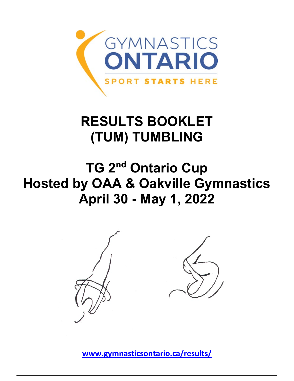

# **RESULTS BOOKLET (TUM) TUMBLING**

# **TG 2nd Ontario Cup Hosted by OAA & Oakville Gymnastics April 30 - May 1, 2022**



**[www.gymnasticsontario.ca/results/](https://www.gymnasticsontario.ca/results/)**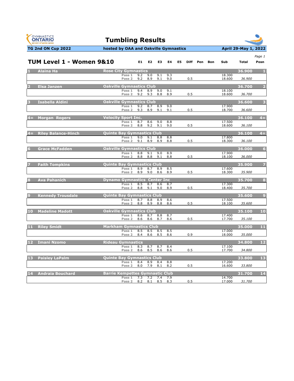



|                |                          |                                        |            |            |            |            |    |     |          |     |                  |        | Page 1          |
|----------------|--------------------------|----------------------------------------|------------|------------|------------|------------|----|-----|----------|-----|------------------|--------|-----------------|
|                | TUM Level 1 - Women 9&10 |                                        |            | E1 E2      | E3         | E4         | E5 |     | Diff Pen | Bon | Sub              | Total  | Posn            |
|                | 1 Alaina Ha              | <b>Rose City Gymnastics</b>            |            |            |            |            |    |     |          |     |                  | 36.900 | $\blacksquare$  |
|                |                          | Pass 1<br>Pass <sub>2</sub>            | 9.2<br>9.2 | 9.0<br>8.9 | 9.1<br>9.1 | 9.3<br>9.0 |    | 0.5 |          |     | 18.300<br>18.600 | 36.900 |                 |
| $\overline{2}$ | <b>Elsa Janzen</b>       | <b>Oakville Gymnastics Club</b>        |            |            |            |            |    |     |          |     |                  | 36.700 | $\overline{2}$  |
|                |                          | Pass 1                                 | 9.4        | 8.9        | 9.0        | 9.1        |    |     |          |     | 18.100           |        |                 |
|                |                          | Pass <sub>2</sub>                      | 9.2        | 9.3        | 8.8        | 8.9        |    | 0.5 |          |     | 18.600           | 36.700 |                 |
|                | 3 Isabella Aldini        | <b>Oakville Gymnastics Club</b>        |            |            |            |            |    |     |          |     |                  | 36,600 | -3              |
|                |                          | Pass 1                                 | 9.2        | 8.7        | 8.9        | 9.0        |    |     |          |     | 17.900           |        |                 |
|                |                          | Pass <sub>2</sub>                      | 9.3        | 8.9        | 9.1        | 9.1        |    | 0.5 |          |     | 18.700           | 36.600 |                 |
|                | 4= Morgan Rogers         | <b>Velocity Sport Inc.</b>             |            |            |            |            |    |     |          |     |                  | 36.100 | $4=$            |
|                |                          | Pass 1                                 | 8.7        | 8.6        | 9.0        | 8.8        |    |     |          |     | 17.500           |        |                 |
|                |                          | Pass 2                                 | 8.8        | 9.2        | 9.1        | 9.0        |    | 0.5 |          |     | 18.600           | 36.100 |                 |
|                | 4= Riley Balance-Hinch   | Quinte Bay Gymnastics Club             |            |            |            |            |    |     |          |     |                  | 36.100 | $4=$            |
|                |                          | Pass 1                                 | 9.0        | 9.1        | 8.8        | 8.8        |    |     |          |     | 17.800           |        |                 |
|                |                          | Pass 2                                 | 9.1        | 8.9        | 8.9        | 8.8        |    | 0.5 |          |     | 18.300           | 36.100 |                 |
| $6 -$          | <b>Grace McFadden</b>    | <b>Oakville Gymnastics Club</b>        |            |            |            |            |    |     |          |     |                  | 36.000 | $6\phantom{1}6$ |
|                |                          | Pass 1                                 | 8.8        | 9.1        | 9.0        | 8.9        |    |     |          |     | 17.900           |        |                 |
|                |                          | Pass 2                                 | 8.8        | 8.8        | 9.1        | 8.8        |    | 0.5 |          |     | 18.100           | 36.000 |                 |
| $\overline{7}$ | <b>Faith Tompkins</b>    | <b>Quinte Bay Gymnastics Club</b>      |            |            |            |            |    |     |          |     |                  | 35.900 | 7               |
|                |                          | Pass 1                                 | 8.9        | 8.7        | 8.9        | 8.5        |    |     |          |     | 17.600           |        |                 |
|                |                          | Pass <sub>2</sub>                      | 8.9        | 9.0        | 8.6        | 8.9        |    | 0.5 |          |     | 18.300           | 35.900 |                 |
| 8              | <b>Ava Pahanich</b>      | <b>Dynamo Gymnastics Center Inc</b>    |            |            |            |            |    |     |          |     |                  | 35.700 | 8               |
|                |                          | Pass 1                                 | 8.5        | 8.7        | 8.6        | 8.7        |    |     |          |     | 17.300           |        |                 |
|                |                          | Pass <sub>2</sub>                      | 8.8        | 9.1        | 9.0        | 8.9        |    | 0.5 |          |     | 18.400           | 35.700 |                 |
| 9 <sup>1</sup> | <b>Kennedy Trousdale</b> | Quinte Bay Gymnastics Club             |            |            |            |            |    |     |          |     |                  | 35.600 | $\overline{9}$  |
|                |                          | Pass 1                                 | 8.7        | 8.8        | 8.9        | 8.6        |    |     |          |     | 17.500           |        |                 |
|                |                          | Pass <sub>2</sub>                      | 8.8        | 8.9        | 8.8        | 8.6        |    | 0.5 |          |     | 18.100           | 35.600 |                 |
|                | 10 Madeline Madott       | <b>Oakville Gymnastics Club</b>        |            |            |            |            |    |     |          |     |                  | 35.100 | 10              |
|                |                          | Pass 1                                 | 8.6        | 8.7        | 8.8        | 8.7        |    |     |          |     | 17.400           |        |                 |
|                |                          | Pass <sub>2</sub>                      | 8.6        | 8.6        | 8.7        | 8.6        |    | 0.5 |          |     | 17.700           | 35.100 |                 |
|                | 11 Riley Smidt           | <b>Markham Gymnastics Club</b>         |            |            |            |            |    |     |          |     |                  | 35.000 | 11              |
|                |                          | Pass 1                                 | 8.5        | 8.5        | 8.5        | 8.5        |    |     |          |     | 17.000           |        |                 |
|                |                          | Pass <sub>2</sub>                      | 8.4        | 8.6        | 8.5        | 8.6        |    | 0.9 |          |     | 18.000           | 35.000 |                 |
|                | 12 Imani Nzomo           | <b>Rideau Gymnastics</b>               |            |            |            |            |    |     |          |     |                  | 34.800 | 12              |
|                |                          | Pass 1                                 | 8.3        | 8.7        | 8.7        | 8.4        |    |     |          |     | 17.100           |        |                 |
|                |                          | Pass <sub>2</sub>                      | 8.6        | 8.5        | 8.6        | 8.6        |    | 0.5 |          |     | 17.700           | 34.800 |                 |
|                | 13 Paisley LaPalm        | <b>Quinte Bay Gymnastics Club</b>      |            |            |            |            |    |     |          |     |                  | 33.800 | 13              |
|                |                          | Pass 1                                 | 8.4        | 8.9        | 8.4        | 8.8        |    |     |          |     | 17.200           |        |                 |
|                |                          | Pass <sub>2</sub>                      | 8.0        | 7.9        | 8.1        | 8.2        |    | 0.5 |          |     | 16.600           | 33.800 |                 |
|                | 14 Andraia Bouchard      | <b>Barrie Kempettes Gymnastic Club</b> |            |            |            |            |    |     |          |     |                  | 31.700 | 14              |
|                |                          | Pass 1                                 | 7.3        | 7.2        | 7.4        | 7.9        |    |     |          |     | 14.700           |        |                 |
|                |                          | Pass 2                                 | 8.2        | 8.1        |            | 8.5 8.3    |    | 0.5 |          |     | 17.000           | 31.700 |                 |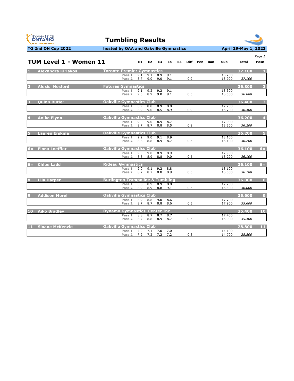





|              |                               |                                             |            |                |            |            |    |     |          |     |                  |              | Page 1                  |
|--------------|-------------------------------|---------------------------------------------|------------|----------------|------------|------------|----|-----|----------|-----|------------------|--------------|-------------------------|
|              | <b>TUM Level 1 - Women 11</b> |                                             | E1.        | E <sub>2</sub> | E3         | E4         | E5 |     | Diff Pen | Bon | Sub              | <b>Total</b> | Posn                    |
|              | <b>Alexandra Kiriakos</b>     | <b>Toronto Premier Gymnastics</b>           |            |                |            |            |    |     |          |     |                  | 37.100       |                         |
|              |                               | Pass 1                                      | 9.1        | 9.1            | 8.9        | 9.1        |    |     |          |     | 18.200           |              |                         |
|              |                               | Pass <sub>2</sub>                           | 8.7        | 9.0            | 9.0        | 9.1        |    | 0.9 |          |     | 18.900           | 37.100       |                         |
|              | <b>Alexis Hosford</b>         | <b>Futures Gymnastics</b>                   |            |                |            |            |    |     |          |     |                  | 36.800       | $\overline{2}$          |
|              |                               | Pass 1<br>Pass <sub>2</sub>                 | 9.1<br>9.0 | 9.2<br>8.9     | 9.2<br>9.0 | 9.1<br>9.1 |    | 0.5 |          |     | 18.300<br>18.500 | 36.800       |                         |
|              |                               |                                             |            |                |            |            |    |     |          |     |                  |              |                         |
|              | <b>Ouinn Butler</b>           | <b>Oakville Gymnastics Club</b>             |            |                |            |            |    |     |          |     |                  | 36.400       | $\overline{\mathbf{3}}$ |
|              |                               | Pass 1<br>Pass <sub>2</sub>                 | 8.9<br>8.9 | 8.8<br>9.0     | 8.9<br>8.5 | 8.8<br>8.9 |    | 0.9 |          |     | 17.700<br>18.700 | 36.400       |                         |
|              |                               |                                             |            |                |            |            |    |     |          |     |                  |              |                         |
|              | <b>Anika Flynn</b>            | <b>Oakville Gymnastics Club</b><br>Pass 1   | 9.0        | 9.0            | 8.9        | 8.7        |    |     |          |     | 17.900           | 36.200       | $\overline{4}$          |
|              |                               | Pass <sub>2</sub>                           | 8.7        | 8.7            | 8.8        | 8.5        |    | 0.9 |          |     | 18.300           | 36.200       |                         |
|              |                               |                                             |            |                |            |            |    |     |          |     |                  |              |                         |
|              | <b>Lauren Erskine</b>         | <b>Oakville Gymnastics Club</b><br>Pass 1   | 9.2        | 9.0            | 9.1        | 8.9        |    |     |          |     | 18.100           | 36.200       | $5\overline{5}$         |
|              |                               | Pass 2                                      | 8.8        | 8.8            | 8.9        | 8.7        |    | 0.5 |          |     | 18.100           | 36.200       |                         |
| $6=$         | <b>Fiona Loeffler</b>         | <b>Oakville Gymnastics Club</b>             |            |                |            |            |    |     |          |     |                  | 36.100       | $6 =$                   |
|              |                               | Pass 1                                      | 9.0        | 9.0            | 8.9        | 8.9        |    |     |          |     | 17.900           |              |                         |
|              |                               | Pass <sub>2</sub>                           | 8.8        | 8.9            | 8.8        | 9.0        |    | 0.5 |          |     | 18.200           | 36.100       |                         |
| $6 =$        | <b>Chloe Ladd</b>             | <b>Rideau Gymnastics</b>                    |            |                |            |            |    |     |          |     |                  | 36.100       | $6 =$                   |
|              |                               | Pass 1                                      | 9.0        | 9.1            | 9.2        | 8.8        |    |     |          |     | 18.100           |              |                         |
|              |                               | Pass <sub>2</sub>                           | 8.7        | 8.7            | 8.8        | 8.9        |    | 0.5 |          |     | 18.000           | 36.100       |                         |
| $\mathbf{R}$ | <b>Lila Harper</b>            | <b>Burlington Trampoline &amp; Tumbling</b> |            |                |            |            |    |     |          |     |                  | 36.000       | 8                       |
|              |                               | Pass 1<br>Pass <sub>2</sub>                 | 8.8<br>8.9 | 8.9<br>8.9     | 8.9<br>8.8 | 8.8<br>9.1 |    | 0.5 |          |     | 17.700<br>18.300 | 36.000       |                         |
|              |                               |                                             |            |                |            |            |    |     |          |     |                  |              |                         |
| 9            | <b>Addison Morel</b>          | <b>Oakville Gymnastics Club</b>             |            |                |            |            |    |     |          |     |                  | 35.600       | $\overline{9}$          |
|              |                               | Pass 1<br>Pass <sub>2</sub>                 | 8.9<br>8.7 | 8.8<br>8.7     | 9.0<br>8.8 | 8.6<br>8.6 |    | 0.5 |          |     | 17.700<br>17.900 | 35.600       |                         |
|              |                               |                                             |            |                |            |            |    |     |          |     |                  |              |                         |
| 10           | <b>Aiko Bradley</b>           | <b>Dynamo Gymnastics Center Inc.</b>        | 8.8        |                | 8.7        |            |    |     |          |     | 17.400           | 35.400       | 10                      |
|              |                               | Pass 1<br>Pass 2                            | 8.7        | 8.7<br>8.8     | 8.9        | 8.7<br>8.7 |    | 0.5 |          |     | 18.000           | 35.400       |                         |
|              |                               |                                             |            |                |            |            |    |     |          |     |                  |              |                         |
| 11           | <b>Sloane McKenzie</b>        | <b>Oakville Gymnastics Club</b><br>Pass 1   | 7.2        | 7.1            | 7.0        | 7.0        |    |     |          |     | 14.100           | 28.800       | 11                      |
|              |                               | Pass <sub>2</sub>                           | 7.2        | 7.2            | 7.2        | 7.2        |    | 0.3 |          |     | 14.700           | 28.800       |                         |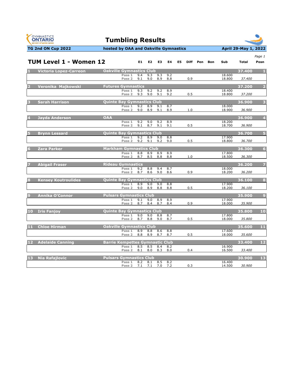



#### **TG 2nd ON Cup 2022 hosted by OAA and Oakville Gymnastics April 29-May 1, 2022**

|                         | TUM Level 1 - Women 12        |                                        |                                | E1 E2 E3   |            | E4         | E5 |     | Diff Pen | Bon | Sub              | <b>Total</b> | Page 1<br>Posn          |
|-------------------------|-------------------------------|----------------------------------------|--------------------------------|------------|------------|------------|----|-----|----------|-----|------------------|--------------|-------------------------|
| $\mathbf{1}$            | <b>Victoria Lopez-Carreon</b> | <b>Oakville Gymnastics Club</b>        |                                |            |            |            |    |     |          |     |                  | 37.400       | $\blacksquare$          |
|                         |                               | Pass 1<br>Pass <sub>2</sub>            | 9.4<br>9.1                     | 9.3<br>9.0 | 9.3<br>8.9 | 9.2<br>8.8 |    | 0.9 |          |     | 18.600<br>18.800 | 37.400       |                         |
| $\overline{2}$          | Veronika Majkowski            | <b>Futures Gymnastics</b>              |                                |            |            |            |    |     |          |     |                  | 37.200       | $\overline{2}$          |
|                         |                               | Pass 1<br>Pass <sub>2</sub>            | 9.3<br>9.3                     | 9.2<br>9.0 | 9.2<br>9.1 | 8.9<br>9.2 |    | 0.5 |          |     | 18,400<br>18.800 | 37.200       |                         |
| $\overline{\mathbf{3}}$ | <b>Sarah Harrison</b>         | <b>Quinte Bay Gymnastics Club</b>      |                                |            |            |            |    |     |          |     |                  | 36.900       | $\overline{\mathbf{3}}$ |
|                         |                               | Pass 1<br>Pass <sub>2</sub>            | 9.2<br>9.0                     | 8.9<br>8.9 | 9.1<br>9.1 | 8.7<br>8.9 |    | 1.0 |          |     | 18.000<br>18.900 | 36.900       |                         |
| 4                       | <b>Jayda Anderson</b>         | <b>OAA</b>                             |                                |            |            |            |    |     |          |     |                  | 36.900       | $\overline{4}$          |
|                         |                               | Pass 1<br>Pass 2                       | 9.2<br>9.1                     | 9.0<br>8.7 | 9.2<br>9.1 | 8.9<br>9.1 |    | 0.5 |          |     | 18.200<br>18.700 | 36.900       |                         |
| 5.                      | <b>Brynn Lessard</b>          | <b>Quinte Bay Gymnastics Club</b>      |                                |            |            |            |    |     |          |     |                  | 36.700       | $5\overline{5}$         |
|                         |                               | Pass 1                                 | 9.2<br>9.2<br>Pass 2           | 8.9<br>9.1 | 9.0<br>9.2 | 8.8<br>9.0 |    | 0.5 |          |     | 17.900<br>18.800 | 36.700       |                         |
| 6 <sup>1</sup>          | <b>Zara Parker</b>            | <b>Markham Gymnastics Club</b>         |                                |            |            |            |    |     |          |     |                  | 36.300       | $6\phantom{1}$          |
|                         |                               |                                        | Pass 1<br>8.8<br>Pass 2<br>8.7 | 8.9<br>8.5 | 8.9<br>8.8 | 8.9<br>8.8 |    | 1.0 |          |     | 17.800<br>18.500 | 36.300       |                         |
| $\overline{7}$          | <b>Abigail Fraser</b>         | <b>Rideau Gymnastics</b>               |                                |            |            |            |    |     |          |     |                  | 36.200       | $\overline{7}$          |
|                         |                               | Pass 1<br>Pass <sub>2</sub>            | 9.2<br>8.7                     | 8.8<br>8.6 | 9.4<br>9.0 | 8.7<br>8.6 |    | 0.9 |          |     | 18,000<br>18.200 | 36.200       |                         |
| $\overline{\mathbf{8}}$ | <b>Kensey Koutroulides</b>    | <b>Quinte Bay Gymnastics Club</b>      |                                |            |            |            |    |     |          |     |                  | 36.100       | 8                       |
|                         |                               | Pass 1<br>Pass <sub>2</sub>            | 8.9<br>9.0                     | 9.0<br>8.9 | 9.0<br>8.8 | 8.8<br>8.8 |    | 0.5 |          |     | 17.900<br>18.200 | 36.100       |                         |
| 9                       | <b>Annika O'Connor</b>        | <b>Pulsars Gymnastics Club</b>         |                                |            |            |            |    |     |          |     |                  | 35.900       | $\overline{9}$          |
|                         |                               | Pass 1<br>Pass <sub>2</sub>            | 9.1<br>8.7                     | 9.0<br>8.4 | 8.9<br>8.7 | 8.9<br>8.4 |    | 0.9 |          |     | 17.900<br>18.000 | 35.900       |                         |
|                         | 10 Iris Fanjoy                | <b>Quinte Bay Gymnastics Club</b>      |                                |            |            |            |    |     |          |     |                  | 35.800       | 10                      |
|                         |                               | Pass 1<br>Pass <sub>2</sub>            | 9.0<br>8.7                     | 9.0<br>8.8 | 8.8<br>9.0 | 8.7<br>8.7 |    | 0.5 |          |     | 17,800<br>18.000 | 35.800       |                         |
|                         | 11 Chloe Hirman               | <b>Oakville Gymnastics Club</b>        |                                |            |            |            |    |     |          |     |                  | 35.600       | 11                      |
|                         |                               | Pass 1                                 | 8.9<br>Pass 2<br>8.8           | 8.8<br>8.9 | 8.6<br>8.7 | 8.8<br>8.7 |    | 0.5 |          |     | 17.600<br>18.000 | 35.600       |                         |
|                         | 12 Adelaide Canning           | <b>Barrie Kempettes Gymnastic Club</b> |                                |            |            |            |    |     |          |     |                  | 33.400       | 12                      |
|                         |                               | Pass 1<br>Pass 2                       | 8.5<br>8.1                     | 8.5<br>8.0 | 8.4<br>8.3 | 8.2<br>8.0 |    | 0.4 |          |     | 16.900<br>16.500 | 33.400       |                         |
|                         | 13 Nia Rafajlovic             | <b>Pulsars Gymnastics Club</b>         |                                |            |            |            |    |     |          |     |                  | 30.900       | 13                      |

**Pass 1** 8.2 8.1 8.5 8.2 16.400 **Pass 2** 7.1 7.1 7.0 7.2 0.3 14.500 *30.900*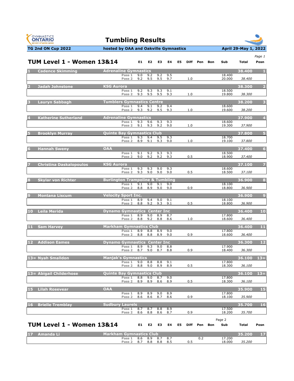



|        | <b>TUM Level 1 - Women 13&amp;14</b> |                                             |                             | E1 =       | E2         | E3         | E4         | E5 |     | Diff Pen | Bon | Sub              | Total  | Page 1<br>Posn          |
|--------|--------------------------------------|---------------------------------------------|-----------------------------|------------|------------|------------|------------|----|-----|----------|-----|------------------|--------|-------------------------|
|        |                                      |                                             |                             |            |            |            |            |    |     |          |     |                  |        |                         |
|        | <b>Cadence Skimming</b>              | <b>Adrenaline Gymnastics</b>                | Pass 1                      | 9.0        | 9.2        | 9.2        | 9.5        |    |     |          |     | 18.400           | 38,400 | - 1.                    |
|        |                                      |                                             | Pass <sub>2</sub>           | 9.2        | 9.5        | 9.5        | 9.7        |    | 1.0 |          |     | 20.000           | 38.400 |                         |
|        | <b>Jadah Johnstone</b>               | <b>KSG Aurora</b>                           |                             |            |            |            |            |    |     |          |     |                  | 38.300 | $\overline{2}$          |
|        |                                      |                                             | Pass 1<br>Pass <sub>2</sub> | 9.2<br>9.3 | 9.3<br>9.5 | 9.3<br>9.5 | 9.1<br>9.3 |    | 1.0 |          |     | 18.500<br>19.800 | 38.300 |                         |
|        | <b>Lauryn Sabbagh</b>                | <b>Tumblers Gymnastics Centre</b>           |                             |            |            |            |            |    |     |          |     |                  | 38.200 | $\overline{\mathbf{3}}$ |
|        |                                      |                                             | Pass 1                      | 9.4        | 9.1        | 9.2        | 9.4        |    |     |          |     | 18.600           |        |                         |
|        |                                      |                                             | Pass 2                      | 9.3        | 9.2        | 9.5        | 9.3        |    | 1.0 |          |     | 19.600           | 38.200 |                         |
|        | <b>Katherine Sutherland</b>          | <b>Adrenaline Gymnastics</b>                | Pass 1                      | 9.3        | 9.6        | 9.3        | 9.3        |    |     |          |     | 18.600           | 37.900 | 4                       |
|        |                                      |                                             | Pass <sub>2</sub>           | 9.1        | 9.3        | 9.2        | 9.0        |    | 1.0 |          |     | 19.300           | 37.900 |                         |
|        | <b>Brooklyn Murray</b>               | Quinte Bay Gymnastics Club                  |                             |            |            |            |            |    |     |          |     |                  | 37.800 | Б                       |
|        |                                      |                                             | Pass 1<br>Pass <sub>2</sub> | 9.3<br>8.9 | 9.4<br>9.1 | 9.5<br>9.3 | 9.3<br>9.0 |    | 1.0 |          |     | 18.700<br>19.100 | 37.800 |                         |
|        |                                      |                                             |                             |            |            |            |            |    |     |          |     |                  |        |                         |
|        | <b>Hannah Sweny</b>                  | <b>OAA</b>                                  | Pass 1                      | 9.1        | 9.2        | 9.3        | 9.3        |    |     |          |     | 18.500           | 37.400 | 6                       |
|        |                                      |                                             | Pass <sub>2</sub>           | 9.0        | 9.2        | 9.2        | 9.3        |    | 0.5 |          |     | 18.900           | 37.400 |                         |
|        | <b>Christina Daskalopoulos</b>       | <b>KSG Aurora</b>                           |                             |            |            |            |            |    |     |          |     |                  | 37.100 | 7                       |
|        |                                      |                                             | Pass 1<br>Pass <sub>2</sub> | 9.3<br>9.3 | 9.3<br>9.0 | 9.0<br>9.0 | 9.3<br>9.0 |    | 0.5 |          |     | 18.600<br>18.500 | 37.100 |                         |
|        |                                      |                                             |                             |            |            |            |            |    |     |          |     |                  |        |                         |
| 8      | <b>Skylar von Richter</b>            | <b>Burlington Trampoline &amp; Tumbling</b> | Pass 1                      | 9.1        | 9.0        | 9.1        | 9.0        |    |     |          |     | 18.100           | 36.900 | 8                       |
|        |                                      |                                             | Pass 2                      | 8.8        | 8.9        | 9.0        | 9.0        |    | 0.9 |          |     | 18.800           | 36.900 |                         |
|        | <b>Montana Liscum</b>                | Velocity Sport Inc.                         |                             |            |            |            |            |    |     |          |     |                  | 36.900 | $\overline{9}$          |
|        |                                      |                                             | Pass 1<br>Pass 2            | 8.9<br>8.8 | 9.4<br>9.2 | 9.0<br>9.3 | 9.1<br>9.1 |    | 0.5 |          |     | 18.100<br>18.800 | 36.900 |                         |
|        | 10 Leila Merida                      | <b>Dynamo Gymnastics Center Inc</b>         |                             |            |            |            |            |    |     |          |     |                  | 36.400 | 10                      |
|        |                                      |                                             | Pass 1                      | 8.9        | 9.0        | 8.9        | 8.7        |    |     |          |     | 17.800           |        |                         |
|        |                                      |                                             | Pass <sub>2</sub>           | 8.8        | 9.2        | 8.8        | 8.6        |    | 1.0 |          |     | 18.600           | 36.400 |                         |
| $11 -$ | <b>Sam Harvey</b>                    | <b>Markham Gymnastics Club</b>              |                             |            |            |            |            |    |     |          |     |                  | 36.400 | 11                      |
|        |                                      |                                             | Pass 1<br>Pass <sub>2</sub> | 8.9<br>8.8 | 8.8<br>8.8 | 8.9<br>8.9 | 9.0<br>9.0 |    | 0.9 |          |     | 17.800<br>18.600 | 36.400 |                         |
| 12     | <b>Addison Eames</b>                 | <b>Dynamo Gymnastics Center Inc</b>         |                             |            |            |            |            |    |     |          |     |                  | 36.300 | 12                      |
|        |                                      |                                             | Pass 1                      | 8.9        | 9.3        | 9.0        | 8.8        |    |     |          |     | 17.900           |        |                         |
|        |                                      |                                             | Pass 2                      | 8.7        | 9.0        | 8.7        | 8.8        |    | 0.9 |          |     | 18.400           | 36.300 |                         |
|        | 13= Nyah Smalldon                    | <b>Manjak's Gymnastics</b>                  | Pass 1                      | 9.0        | 8.8        | 8.8        | 9.1        |    |     |          |     | 17.800           | 36.100 | $13 =$                  |
|        |                                      |                                             | Pass 2                      | 8.8        | 9.0        | 8.9        | 8.9        |    | 0.5 |          |     | 18.300           | 36.100 |                         |
|        | 13= Abigail Childerhose              | <b>Quinte Bay Gymnastics Club</b>           |                             |            |            |            |            |    |     |          |     |                  | 36.100 | $13 =$                  |
|        |                                      |                                             | Pass 1                      | 8.8        | 9.0        | 8.7        | 9.0        |    |     |          |     | 17.800           |        |                         |
|        |                                      |                                             | Pass <sub>2</sub>           | 8.9        | 8.9        | 8.6        | 8.9        |    | 0.5 |          |     | 18.300           | 36.100 |                         |
| 15     | <b>Lilah Rosevear</b>                | <b>OAA</b>                                  | Pass 1                      | 8.9        | 8.9        | 9.0        | 8.9        |    |     |          |     | 17.800           | 35.900 | 15                      |
|        |                                      |                                             | Pass <sub>2</sub>           | 8.6        | 8.6        | 8.7        | 8.6        |    | 0.9 |          |     | 18.100           | 35.900 |                         |
| 16     | <b>Brielle Tremblay</b>              | <b>Sudbury Laurels</b>                      |                             |            |            |            |            |    |     |          |     |                  | 35.700 | 16                      |
|        |                                      |                                             | Pass 1<br>Pass <sub>2</sub> | 8.7<br>8.6 | 8.7<br>8.8 | 8.8<br>8.6 | 8.9<br>8.7 |    | 0.9 |          |     | 17.500<br>18.200 | 35.700 |                         |
|        |                                      |                                             |                             |            |            |            |            |    |     |          |     |                  |        |                         |
|        | <b>TUM Level 1 - Women 13&amp;14</b> |                                             |                             | E1         | E2         | E3         | E4         | E5 |     | Diff Pen | Bon | Page 2<br>Sub    | Total  | Posn                    |
|        |                                      |                                             |                             |            |            |            |            |    |     |          |     |                  |        |                         |
| 17     | Amanda Li                            | <b>Markham Gymnastics Club</b>              | Pass 1                      | 8.6        | 8.9        | 8.7        | 8.7        |    |     | 0.2      |     | 17.200           | 35.200 | 17                      |
|        |                                      |                                             | Pass 2                      | 8.7        | 8.8        | 8.8        | 8.5        |    | 0.5 |          |     | 18.000           | 35.200 |                         |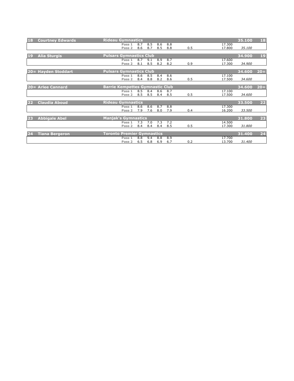| 18 | <b>Courtney Edwards</b> | <b>Rideau Gymnastics</b>               |     |     |     |     |     |        | 35.100 | 18     |
|----|-------------------------|----------------------------------------|-----|-----|-----|-----|-----|--------|--------|--------|
|    |                         | Pass 1                                 | 8.7 | 8.5 | 8.6 | 8.8 |     | 17.300 |        |        |
|    |                         | Pass 2                                 | 8.6 | 8.7 | 8.5 | 8.8 | 0.5 | 17.800 | 35.100 |        |
|    |                         |                                        |     |     |     |     |     |        |        |        |
| 19 | <b>Alia Sturgis</b>     | <b>Pulsars Gymnastics Club</b>         |     |     |     |     |     |        | 34.900 | 19     |
|    |                         | Pass 1                                 | 8.7 | 9.1 | 8.9 | 8.7 |     | 17.600 |        |        |
|    |                         | Pass <sub>2</sub>                      | 8.1 | 8.5 | 8.2 | 8.2 | 0.9 | 17.300 | 34.900 |        |
|    |                         |                                        |     |     |     |     |     |        |        |        |
|    | 20 = Hayden Stoddart    | <b>Pulsars Gymnastics Club</b>         |     |     |     |     |     |        | 34.600 | $20 =$ |
|    |                         | Pass 1                                 | 8.6 | 8.5 | 8.4 | 8.6 |     | 17.100 |        |        |
|    |                         | Pass <sub>2</sub>                      | 8.4 | 8.8 | 8.2 | 8.6 | 0.5 | 17.500 | 34.600 |        |
|    |                         |                                        |     |     |     |     |     |        |        |        |
|    | 20= Arlee Cannard       | <b>Barrie Kempettes Gymnastic Club</b> |     |     |     |     |     |        | 34.600 | $20 =$ |
|    |                         | Pass 1                                 | 8.5 | 8.4 | 8.6 | 8.7 |     | 17.100 |        |        |
|    |                         | Pass <sub>2</sub>                      | 8.5 | 8.5 | 8.4 | 8.5 | 0.5 | 17.500 | 34.600 |        |
| 22 | <b>Claudia Aboud</b>    | <b>Rideau Gymnastics</b>               |     |     |     |     |     |        | 33.500 | 22     |
|    |                         | Pass 1                                 | 8.6 | 8.6 | 8.7 | 8.8 |     | 17.300 |        |        |
|    |                         | Pass 2                                 | 7.9 | 7.6 | 8.0 | 7.9 | 0.4 | 16.200 | 33.500 |        |
|    |                         |                                        |     |     |     |     |     |        |        |        |
| 23 | <b>Abbigale Abel</b>    | <b>Manjak's Gymnastics</b>             |     |     |     |     |     |        | 31.800 | 23     |
|    |                         | Pass 1                                 | 7.3 | 7.0 | 7.3 | 7.2 |     | 14.500 |        |        |
|    |                         | Pass 2                                 | 8.4 | 8.4 | 8.4 | 8.5 | 0.5 | 17.300 | 31.800 |        |
|    |                         |                                        |     |     |     |     |     |        |        |        |
| 24 | <b>Tiana Bergeron</b>   | <b>Toronto Premier Gymnastics</b>      |     |     |     |     |     |        | 31.400 | 24     |
|    |                         | Pass 1                                 | 8.8 | 9.4 | 8.8 | 8.9 |     | 17.700 |        |        |
|    |                         | Pass <sub>2</sub>                      | 6.5 | 6.8 | 6.9 | 6.7 | 0.2 | 13.700 | 31.400 |        |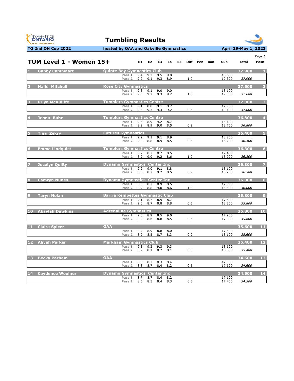



|                | TUM Level 1 - Women 15+ |                                        |            | E1 E2      | E3         | E4         | E5 |     | Diff Pen | Bon | Sub              | Total  | Page 1<br>Posn  |
|----------------|-------------------------|----------------------------------------|------------|------------|------------|------------|----|-----|----------|-----|------------------|--------|-----------------|
|                |                         |                                        |            |            |            |            |    |     |          |     |                  |        |                 |
|                | 1 Gabby Cammaart        | <b>Quinte Bay Gymnastics Club</b>      |            |            |            |            |    |     |          |     |                  | 37.900 | $\blacksquare$  |
|                |                         | Pass 1<br>Pass <sub>2</sub>            | 9.4<br>9.2 | 9.2<br>9.1 | 9.5<br>9.3 | 9.0<br>8.9 |    | 1.0 |          |     | 18.600<br>19.300 | 37.900 |                 |
| $\overline{2}$ | <b>Hallé Mitchell</b>   | <b>Rose City Gymnastics</b>            |            |            |            |            |    |     |          |     |                  | 37.600 | $\overline{2}$  |
|                |                         | Pass 1                                 | 9.3        | 9.1        | 9.0        | 9.0        |    |     |          |     | 18.100           |        |                 |
|                |                         | Pass <sub>2</sub>                      | 9.5        | 9.2        | 9.3        | 9.2        |    | 1.0 |          |     | 19.500           | 37.600 |                 |
| $3 -$          | <b>Priva McAuliffe</b>  | <b>Tumblers Gymnastics Centre</b>      |            |            |            |            |    |     |          |     |                  | 37,000 | 3               |
|                |                         | Pass 1                                 | 9.1        | 8.8        | 9.1        | 8.7        |    |     |          |     | 17.900           |        |                 |
|                |                         | Pass <sub>2</sub>                      | 9.3        | 9.3        | 9.3        | 9.2        |    | 0.5 |          |     | 19.100           | 37.000 |                 |
| $4 -$          | Jenna Buhr              | <b>Tumblers Gymnastics Centre</b>      |            |            |            |            |    |     |          |     |                  | 36.800 | $\overline{4}$  |
|                |                         | Pass 1                                 | 9.3        | 8.9        | 9.2        | 8.7        |    |     |          |     | 18.100           |        |                 |
|                |                         | Pass 2                                 | 8.9        | 8.9        | 9.0        | 8.5        |    | 0.9 |          |     | 18.700           | 36.800 |                 |
| $5 -$          | Tina Zekry              | <b>Futures Gymnastics</b>              |            |            |            |            |    |     |          |     |                  | 36.400 | $5\overline{5}$ |
|                |                         | Pass 1<br>Pass 2                       | 9.2<br>9.0 | 9.1<br>8.8 | 9.1<br>8.9 | 8.9<br>8.5 |    | 0.5 |          |     | 18.200<br>18.200 |        |                 |
|                |                         |                                        |            |            |            |            |    |     |          |     |                  | 36.400 |                 |
| $6-$           | <b>Emma Lindquist</b>   | <b>Tumblers Gymnastics Centre</b>      |            |            |            |            |    |     |          |     |                  | 36.300 | $6\phantom{1}$  |
|                |                         | Pass 1                                 | 8.7        | 8.7        | 8.7        | 8.5        |    |     |          |     | 17.400           |        |                 |
|                |                         | Pass 2                                 | 8.9        | 9.0        | 9.2        | 8.6        |    | 1.0 |          |     | 18.900           | 36.300 |                 |
| $\overline{7}$ | Jocelyn Quilty          | <b>Dynamo Gymnastics Center Inc</b>    |            |            |            |            |    |     |          |     |                  | 36.300 | 7               |
|                |                         | Pass 1                                 | 9.2        | 9.0        | 9.1        | 8.8        |    |     |          |     | 18.100           |        |                 |
|                |                         | Pass <sub>2</sub>                      | 8.6        | 8.7        | 9.2        | 8.5        |    | 0.9 |          |     | 18.200           | 36.300 |                 |
| 8              | <b>Camryn Nunes</b>     | <b>Dynamo Gymnastics Center Inc</b>    |            |            |            |            |    |     |          |     |                  | 36.000 | 8               |
|                |                         | Pass 1                                 | 8.8        | 8.7        | 8.9        | 8.5        |    |     |          |     | 17.500           |        |                 |
|                |                         | Pass <sub>2</sub>                      | 8.7        | 8.8        | 9.0        | 8.6        |    | 1.0 |          |     | 18.500           | 36.000 |                 |
| $9 -$          | <b>Taryn Nolan</b>      | <b>Barrie Kempettes Gymnastic Club</b> |            |            |            |            |    |     |          |     |                  | 35.800 | $\overline{9}$  |
|                |                         | Pass 1                                 | 9.1        | 8.7        | 8.9        | 8.7        |    |     |          |     | 17.600           |        |                 |
|                |                         | Pass <sub>2</sub>                      | 9.0        | 8.7        | 8.8        | 8.8        |    | 0.6 |          |     | 18.200           | 35.800 |                 |
|                | 10 Akaylah Dawkins      | <b>Adrenaline Gymnastics</b>           |            |            |            |            |    |     |          |     |                  | 35.800 | 10              |
|                |                         | Pass 1                                 | 9.0        | 8.9        | 8.5        | 9.0        |    |     |          |     | 17.900           |        |                 |
|                |                         | Pass 2                                 | 8.9        | 8.6        | 8.8        | 8.5        |    | 0.5 |          |     | 17.900           | 35.800 |                 |
|                | 11 Claire Spicer        | <b>OAA</b>                             |            |            |            |            |    |     |          |     |                  | 35.600 | 11              |
|                |                         | Pass 1                                 | 8.7        | 8.9        | 8.8        | 8.0        |    |     |          |     | 17.500           |        |                 |
|                |                         | Pass <sub>2</sub>                      | 8.9        | 8.5        | 8.7        | 8.3        |    | 0.9 |          |     | 18.100           | 35.600 |                 |
|                | 12 Aliyah Parker        | <b>Markham Gymnastics Club</b>         |            |            |            |            |    |     |          |     |                  | 35.400 | 12              |
|                |                         | Pass 1                                 | 9.3        | 9.2        | 9.3        | 9.3        |    |     |          |     | 18.600           |        |                 |
|                |                         | Pass <sub>2</sub>                      | 8.2        | 8.1        | 8.2        | 8.1        |    | 0.5 |          |     | 16.800           | 35.400 |                 |
|                | 13 Becky Parham         | <b>OAA</b>                             |            |            |            |            |    |     |          |     |                  | 34.600 | 13              |
|                |                         | Pass 1                                 | 8.6        | 8.7        | 8.3        | 8.4        |    |     |          |     | 17.000           |        |                 |
|                |                         | Pass <sub>2</sub>                      | 8.8        | 8.7        | 8.4        | 8.2        |    | 0.5 |          |     | 17.600           | 34.600 |                 |
|                | 14 Caydence Woolner     | <b>Dynamo Gymnastics Center Inc.</b>   |            |            |            |            |    |     |          |     |                  | 34.500 | 14              |
|                |                         | Pass 1                                 | 8.7        | 8.7        | 8.4        | 8.2        |    |     |          |     | 17.100           |        |                 |
|                |                         | Pass 2                                 |            | 8.6 8.5    |            | 8.4 8.3    |    | 0.5 |          |     | 17.400           | 34.500 |                 |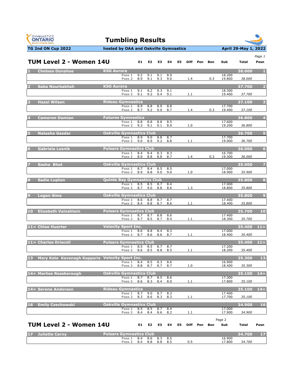



| <b>TUM Level 2 - Women 14U</b>                     |                                             | E1         | E <sub>2</sub> | E3         | E4         | E5 |     | Diff Pen | Bon | Sub              | Total  | Page 1<br>Posn          |
|----------------------------------------------------|---------------------------------------------|------------|----------------|------------|------------|----|-----|----------|-----|------------------|--------|-------------------------|
|                                                    |                                             |            |                |            |            |    |     |          |     |                  |        |                         |
| <b>Chelsea Donahoe</b>                             | <b>KSG Aurora</b><br>Pass 1                 | 9.2        | 9.1            | 9.1        | 8.9        |    |     |          |     | 18.200           | 38,000 | - 1.                    |
|                                                    | Pass <sub>2</sub>                           | 8.9        | 9.1            | 9.3        | 9.0        |    | 1.4 |          | 0.3 | 19.800           | 38.000 |                         |
| Saba Nourbakhsh                                    | <b>KSG Aurora</b>                           |            |                |            |            |    |     |          |     |                  | 37.700 | $\overline{2}$          |
|                                                    | Pass 1<br>Pass <sub>2</sub>                 | 9.1<br>9.1 | 9.2<br>9.2     | 9.3<br>9.4 | 9.1<br>9.1 |    | 1.1 |          |     | 18.300<br>19.400 | 37.700 |                         |
| <b>Hazel Wilson</b>                                | <b>Rideau Gymnastics</b>                    |            |                |            |            |    |     |          |     |                  | 37.100 | $\overline{\mathbf{3}}$ |
|                                                    | Pass 1                                      | 8.9        | 8.8            | 8.9        | 8.8        |    |     |          |     | 17.700           |        |                         |
|                                                    | Pass <sub>2</sub>                           | 8.7        | 9.2            | 9.0        | 8.7        |    | 1.4 |          | 0.3 | 19.400           | 37.100 |                         |
| <b>Cameron Damian</b>                              | <b>Futures Gymnastics</b>                   |            |                |            |            |    |     |          |     |                  | 36.800 | $\overline{4}$          |
|                                                    | Pass $1$<br>Pass <sub>2</sub>               | 8.8<br>9.3 | 8.8<br>9.1     | 8.8<br>9.1 | 8.5<br>8.9 |    | 1.0 |          |     | 17.600<br>19.200 | 36.800 |                         |
| Natasha Gazdar                                     | <b>Oakville Gymnastics Club</b>             |            |                |            |            |    |     |          |     |                  | 36.700 | 5                       |
|                                                    | Pass 1                                      | 8.9        | 9.0            | 8.8        | 8.7        |    |     |          |     | 17.700           |        |                         |
|                                                    | Pass <sub>2</sub>                           | 9.0        | 8.9            | 9.2        | 8.8        |    | 1.1 |          |     | 19.000           | 36.700 |                         |
| Gabriela Lesnik                                    | <b>Pulsars Gymnastics Club</b><br>Pass 1    | 8.4        | 8.4            | 8.3        | 8.3        |    |     |          |     | 16.700           | 36.000 | 6                       |
|                                                    | Pass <sub>2</sub>                           | 8.9        | 8.8            | 8.8        | 8.7        |    | 1.4 |          | 0.3 | 19.300           | 36.000 |                         |
| Sasha Bhot                                         | <b>Oakville Gymnastics Club</b>             |            |                |            |            |    |     |          |     |                  | 35,900 | 7                       |
|                                                    | Pass 1                                      | 8.7        | 8.4            | 8.5        | 8.5        |    |     |          |     | 17.000           |        |                         |
|                                                    | Pass <sub>2</sub>                           | 8.9        | 8.8            | 9.0        | 9.0        |    | 1.0 |          |     | 18.900           | 35.900 |                         |
| <b>Sadie Lupton</b>                                | <b>Quinte Bay Gymnastics Club</b><br>Pass 1 | 8.5        | 8.5            | 8.7        | 8.4        |    |     |          |     | 17.000           | 35.800 | 8                       |
|                                                    | Pass <sub>2</sub>                           | 8.7        | 9.0            | 8.8        | 8.6        |    | 1.3 |          |     | 18.800           | 35.800 |                         |
| <b>Logan Sims</b>                                  | <b>Oakville Gymnastics Club</b>             |            |                |            |            |    |     |          |     |                  | 35.800 | $\overline{9}$          |
|                                                    | Pass 1<br>Pass 2                            | 8.6<br>8.4 | 8.8<br>8.8     | 8.7<br>8.7 | 8.7<br>8.6 |    | 1.1 |          |     | 17.400<br>18.400 | 35.800 |                         |
|                                                    |                                             |            |                |            |            |    |     |          |     |                  |        |                         |
| 10<br><b>Elizabeth Vainshtein</b>                  | <b>Pulsars Gymnastics Club</b><br>Pass 1    | 8.7        | 8.7            | 8.8        | 8.6        |    |     |          |     | 17.400           | 35.700 | 10                      |
|                                                    | Pass <sub>2</sub>                           | 8.7        | 8.5            | 8.7        | 8.4        |    | 1.1 |          |     | 18.300           | 35.700 |                         |
| $11 =$ Chloe Huerter                               | <b>Velocity Sport Inc.</b>                  |            |                |            |            |    |     |          |     |                  | 35.400 | $11 =$                  |
|                                                    | Pass 1<br>Pass <sub>2</sub>                 | 8.6<br>8.7 | 8.8<br>8.6     | 8.4<br>8.6 | 8.3<br>8.7 |    | 1.1 |          |     | 17.000<br>18.400 | 35.400 |                         |
|                                                    |                                             |            |                |            |            |    |     |          |     |                  |        |                         |
| 11= Charlee Driscoll                               | <b>Pulsars Gymnastics Club</b><br>Pass 1    | 8.5        | 8.5            | 8.7        | 8.7        |    |     |          |     | 17.200           | 35.400 | $11 =$                  |
|                                                    | Pass <sub>2</sub>                           | 8.6        | 8.5            | 8.8        | 8.5        |    | 1.1 |          |     | 18.200           | 35.400 |                         |
| 13 Mary Kate Kavanagh Kapparis Velocity Sport Inc. |                                             |            |                |            |            |    |     |          |     |                  | 35.300 | 13                      |
|                                                    | Pass 1<br>Pass 2                            | 8.4<br>8.8 | 8.5<br>8.7     | 8.3<br>8.7 | 8.6<br>8.7 |    | 1.0 |          |     | 16.900<br>18.400 | 35.300 |                         |
|                                                    |                                             |            |                |            |            |    |     |          |     |                  |        |                         |
| 14= Marlies Rossborough                            | <b>Oakville Gymnastics Club</b><br>Pass 1   | 8.7        | 8.7            | 8.5        | 8.6        |    |     |          |     | 17.300           | 35.100 | $14=$                   |
|                                                    | Pass 2                                      | 8.6        | 8.3            | 8.4        | 8.0        |    | 1.1 |          |     | 17.800           | 35.100 |                         |
| 14= Serena Anderson                                | <b>Rideau Gymnastics</b>                    |            |                |            |            |    |     |          |     |                  | 35.100 | $14 =$                  |
|                                                    | Pass 1<br>Pass 2                            | 8.7<br>8.3 | 9.0<br>8.6     | 8.7<br>8.3 | 8.3<br>8.3 |    | 1.1 |          |     | 17.400<br>17.700 | 35.100 |                         |
| <b>Emily Czechowski</b><br>$16^{1}$                | Oakville Gymnastics Club                    |            |                |            |            |    |     |          |     |                  | 34.900 | 16                      |
|                                                    | Pass 1                                      | 8.5        | 8.5            | 8.7        | 8.4        |    |     |          |     | 17.000           |        |                         |
|                                                    | Pass 2                                      | 8.4        | 8.4            | 8.6        | 8.2        |    | 1.1 |          |     | 17.900           | 34.900 |                         |
|                                                    |                                             |            |                |            |            |    |     |          |     | Page 2           |        |                         |
| TUM Level 2 - Women 14U                            |                                             | E1         | E2             | E3         | E4         | E5 |     | Diff Pen | Bon | Sub              | Total  | Posn                    |
| <b>Juliette Cerny</b>                              | <b>Pulsars Gymnastics Club</b>              |            |                |            |            |    |     |          |     |                  | 34.700 | 17                      |
|                                                    | Pass 1<br>Pass 2                            | 8.4<br>8.4 | 8.6<br>8.8     | 8.3<br>8.8 | 8.5<br>8.5 |    | 0.5 |          |     | 16.900<br>17.800 | 34.700 |                         |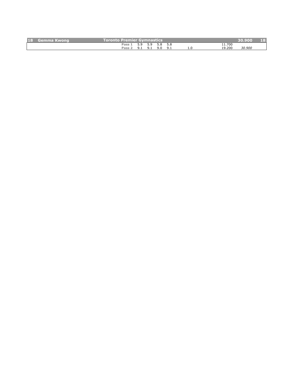| <b>18</b> | \Gemma Kwong' | Toronto Premier Gymnastics' |          |     |     |     |     |              | 30.900 | $\lceil$ (s)<br>$\mathbb{F}^{(n)}$ |
|-----------|---------------|-----------------------------|----------|-----|-----|-----|-----|--------------|--------|------------------------------------|
|           |               | Pass                        |          |     | 5.8 | 5.8 |     | <b>1.700</b> |        |                                    |
|           |               | Pass                        | <u>.</u> | 9.1 | 9.0 |     | ⊥.∪ | 19.200       | 30.900 |                                    |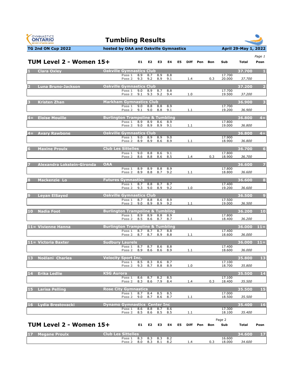



| TUM Level 2 - Women 15+        |                                             |                             |            | E1 E2                  | E3         | E4         | E5 | Diff | Pen | <b>Bon</b> | Sub              | Total  | Page 1<br>Posn          |
|--------------------------------|---------------------------------------------|-----------------------------|------------|------------------------|------------|------------|----|------|-----|------------|------------------|--------|-------------------------|
| <b>Clara Oxley</b>             | <b>Oakville Gymnastics Club</b>             |                             |            |                        |            |            |    |      |     |            |                  | 37.700 | $\mathbf{1}$            |
|                                |                                             | Pass 1<br>Pass <sub>2</sub> |            | 8.9 8.7<br>$9.3$ $9.2$ | 8.9<br>8.9 | 8.8<br>9.1 |    | 1.4  |     | 0.3        | 17.700<br>20.000 | 37.700 |                         |
| <b>Luna Bruno-Jackson</b>      | <b>Oakville Gymnastics Club</b>             |                             |            |                        |            |            |    |      |     |            |                  | 37.200 | $\overline{\mathbf{c}}$ |
|                                |                                             | Pass 1<br>Pass <sub>2</sub> | 9.0<br>9.1 | 8.9<br>9.3             | 8.7<br>9.2 | 8.8<br>9.4 |    | 1.0  |     |            | 17.700<br>19.500 | 37.200 |                         |
| <b>Kristen Zhan</b>            | <b>Markham Gymnastics Club</b>              |                             |            |                        |            |            |    |      |     |            |                  | 36.900 | 3                       |
|                                |                                             | Pass 1<br>Pass 2            | 9.0<br>9.1 | 8.8<br>9.0             | 8.8<br>8.8 | 8.9<br>9.1 |    | 1.1  |     |            | 17.700<br>19.200 | 36.900 |                         |
| <b>Eloise Mouille</b><br>$4 =$ | <b>Burlington Trampoline &amp; Tumbling</b> |                             |            |                        |            |            |    |      |     |            |                  | 36.800 | $4=$                    |
|                                |                                             | Pass 1<br>Pass <sub>2</sub> | 8.9<br>9.0 | 8.9<br>8.9             | 8.6<br>8.9 | 8.9<br>9.1 |    | 1.1  |     |            | 17.800<br>19.000 | 36.800 |                         |
| 4= Avary Rawbone               | <b>Oakville Gymnastics Club</b>             |                             |            |                        |            |            |    |      |     |            |                  | 36.800 | $4=$                    |
|                                |                                             | Pass 1<br>Pass <sub>2</sub> | 9.0<br>8.9 | 8.9<br>8.9             | 8.9<br>8.6 | 9.0<br>8.9 |    | 1.1  |     |            | 17.900<br>18.900 | 36.800 |                         |
| <b>Maxine Proulx</b>           | <b>Club Les Sittelles</b>                   |                             |            |                        |            |            |    |      |     |            |                  | 36.700 | $6\phantom{1}6$         |
|                                |                                             | Pass 1<br>Pass 2            | 9.0<br>8.6 | 8.8<br>8.8             | 8.6<br>8.6 | 9.1<br>8.5 |    | 1.4  |     | 0.3        | 17.800<br>18.900 | 36.700 |                         |
| Alexandra Lokstein-Gironda     | <b>OAA</b>                                  |                             |            |                        |            |            |    |      |     |            |                  | 36.600 | $\overline{z}$          |
|                                |                                             | Pass 1<br>Pass 2            | 8.9<br>8.9 | 8.9<br>8.8             | 8.8<br>8.7 | 8.9<br>9.2 |    | 1.1  |     |            | 17.800<br>18.800 | 36.600 |                         |
| <b>Mackenzie Lo</b><br>я       | <b>Futures Gymnastics</b>                   |                             |            |                        |            |            |    |      |     |            |                  | 36.600 | $\bf{8}$                |
|                                |                                             | Pass 1<br>Pass <sub>2</sub> | 8.7<br>9.3 | 8.8<br>9.0             | 8.7<br>8.9 | 8.7<br>9.2 |    | 1.0  |     |            | 17.400<br>19.200 | 36.600 |                         |
| <b>Leyan ElSayed</b><br>9      | <b>Oakville Gymnastics Club</b>             |                             |            |                        |            |            |    |      |     |            |                  | 36.500 | $\overline{9}$          |
|                                |                                             | Pass 1<br>Pass <sub>2</sub> | 8.7<br>9.0 | 8.8<br>8.9             | 8.6<br>8.9 | 8.9<br>9.2 |    | 1.1  |     |            | 17.500<br>19.000 | 36.500 |                         |
| 10<br><b>Nadia Foot</b>        | <b>Burlington Trampoline &amp; Tumbling</b> |                             |            |                        |            |            |    |      |     |            |                  | 36.200 | 10                      |
|                                |                                             | Pass 1<br>Pass 2            | 8.9<br>8.5 | 8.9<br>8.6             | 8.8<br>8.7 | 8.9<br>8.7 |    | 1.1  |     |            | 17.800<br>18.400 | 36.200 |                         |
| 11= Vivienne Hanna             | <b>Burlington Trampoline &amp; Tumbling</b> |                             |            |                        |            |            |    |      |     |            |                  | 36.000 | $11 =$                  |
|                                |                                             | Pass 1<br>Pass 2            | 8.7<br>8.7 | 8.7<br>8.7             | 8.7<br>8.9 | 8.8<br>8.8 |    | 1.1  |     |            | 17.400<br>18.600 | 36.000 |                         |
| 11= Victoria Baxter            | <b>Sudbury Laurels</b>                      |                             |            |                        |            |            |    |      |     |            |                  | 36.000 | $11 =$                  |
|                                |                                             | Pass 1<br>Pass 2            | 8.7<br>8.9 | 8.7<br>8.6             | 8.6<br>8.6 | 8.8<br>8.9 |    | 1.1  |     |            | 17.400<br>18.600 | 36.000 |                         |
| <b>Noëlani Charles</b><br>13   | <b>Velocity Sport Inc.</b>                  |                             |            |                        |            |            |    |      |     |            |                  | 35.800 | <b>13</b>               |
|                                |                                             | Pass 1<br>Pass 2            | 8.5<br>9.3 | 8.3<br>8.7             | 8.6<br>8.8 | 8.7<br>8.9 |    | 1.0  |     |            | 17.100<br>18.700 | 35.800 |                         |
| 14<br><b>Erika Ledlie</b>      | <b>KSG Aurora</b>                           |                             |            |                        |            |            |    |      |     |            |                  | 35.500 | 14                      |
|                                |                                             | Pass 1<br>Pass 2            | 8.6<br>8.3 | 8.7<br>8.6             | 8.2<br>7.9 | 8.5<br>8.4 |    | 1.4  |     | 0.3        | 17.100<br>18.400 | 35.500 |                         |
| <b>Larisa Pelling</b>          | <b>Rose City Gymnastics</b>                 |                             |            |                        |            |            |    |      |     |            |                  | 35.500 | 15                      |
|                                |                                             | Pass 1<br>Pass 2            | 8.7<br>9.0 | 8.4<br>8.7             | 8.5<br>8.6 | 8.5<br>8.7 |    | 1.1  |     |            | 17.000<br>18.500 | 35.500 |                         |
| Lydia Brestovacki<br>16        | <b>Dynamo Gymnastics Center Inc</b>         |                             |            |                        |            |            |    |      |     |            |                  | 35.400 | <b>16</b>               |
|                                |                                             | Pass 1<br>Pass 2            | 8.6<br>8.5 | 8.8<br>8.6             | 8.7<br>8.5 | 8.6<br>8.5 |    | 1.1  |     |            | 17.300<br>18.100 | 35.400 |                         |
|                                |                                             |                             |            |                        |            |            |    |      |     |            | Page 2           |        |                         |
| TUM Level 2 - Women 15+        |                                             |                             | E1.        | E <sub>2</sub>         | E3         | E4         | E5 | Diff | Pen | Bon        | Sub              | Total  | Posn                    |
| <b>Megane Proulx</b><br>17     | <b>Club Les Sittelles</b>                   |                             |            |                        |            |            |    |      |     |            |                  | 34.600 | $17$                    |
|                                |                                             | Pass 1<br>Pass <sub>2</sub> | 8.3<br>8.0 | 8.3<br>8.3             | 8.3<br>8.1 | 8.2<br>8.2 |    | 1.4  |     | 0.3        | 16.600<br>18.000 | 34.600 |                         |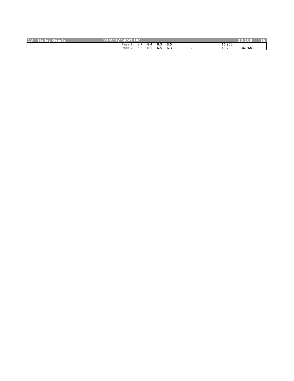| <b>18</b> | Geerts<br>$-$ and $ \sqrt{2}$ and $-$<br>. i lei i | <b>Velocity S</b><br><b>Sport Inc.</b> |     |                |     |     |         |        | 30.100 | T O<br>$\mathbb{F}^{(n)}$ |
|-----------|----------------------------------------------------|----------------------------------------|-----|----------------|-----|-----|---------|--------|--------|---------------------------|
|           |                                                    | Pass                                   | ပ…  | O <sub>1</sub> | 0.J | 8.5 |         | 16.900 |        |                           |
|           |                                                    | Pass                                   | כ.ס | כ.ס            | כ.ס | 6.3 | <u></u> | 13.200 | 30.100 |                           |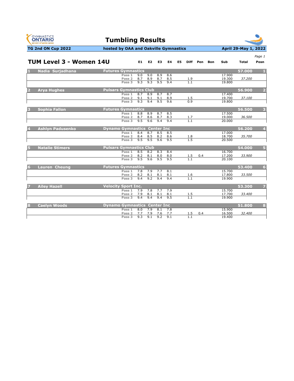



|       |                         |                                      |                                        |            |            |            |            |     |            |          |            |                  |        | Page 1                  |
|-------|-------------------------|--------------------------------------|----------------------------------------|------------|------------|------------|------------|-----|------------|----------|------------|------------------|--------|-------------------------|
|       | TUM Level 3 - Women 14U |                                      |                                        | E1 E2      |            | E3         | E4         | E5. |            | Diff Pen | <b>Bon</b> | Sub              | Total  | Posn                    |
| $1 -$ | Nadia Surjadhana        | <b>Futures Gymnastics</b>            |                                        |            |            |            |            |     |            |          |            |                  | 57.000 | $\blacksquare$          |
|       |                         |                                      | Pass 1                                 | 9.0        | 9.0        | 8.9        | 8.6        |     |            |          |            | 17.900           |        |                         |
|       |                         |                                      | Pass 2<br>Pass <sub>3</sub>            | 8.7<br>9.3 | 8.9<br>9.3 | 8.7<br>9.5 | 8.5<br>9.4 |     | 1.9<br>1.1 |          |            | 19.300<br>19.800 | 37.200 |                         |
|       |                         |                                      |                                        |            |            |            |            |     |            |          |            |                  |        |                         |
|       | <b>Arya Hughes</b>      | <b>Pulsars Gymnastics Club</b>       |                                        |            |            |            |            |     |            |          |            |                  | 56.900 | $\overline{2}$          |
|       |                         |                                      | Pass 1                                 | 8.7        | 8.9        | 8.7        | 8.7        |     |            |          |            | 17.400           |        |                         |
|       |                         |                                      | Pass 2                                 | 9.1        | 9.1        | 9.1        | 8.9        |     | 1.5        |          |            | 19.700           | 37.100 |                         |
|       |                         |                                      | Pass <sub>3</sub>                      | 9.3        | 9.4        | 9.5        | 9.6        |     | 0.9        |          |            | 19.800           |        |                         |
| 3     | <b>Sophia Fallon</b>    | <b>Futures Gymnastics</b>            |                                        |            |            |            |            |     |            |          |            |                  | 56.500 | 3                       |
|       |                         |                                      | Pass 1                                 | 8.8        | 8.9        | 8.7        | 8.5        |     |            |          |            | 17.500           |        |                         |
|       |                         |                                      | Pass 2                                 | 8.7<br>9.5 | 8.6<br>9.6 | 8.7<br>9.4 | 8.3        |     | 1.7<br>1.1 |          |            | 19.000           | 36.500 |                         |
|       |                         |                                      | Pass <sub>3</sub>                      |            |            |            | 9.4        |     |            |          |            | 20,000           |        |                         |
| 4.    | <b>Ashlyn Padusenko</b> | <b>Dynamo Gymnastics Center Inc.</b> |                                        |            |            |            |            |     |            |          |            |                  | 56.200 | $\overline{\mathbf{4}}$ |
|       |                         |                                      | Pass 1                                 | 8.4        | 8.7        | 8.5        | 8.5        |     |            |          |            | 17.000           |        |                         |
|       |                         |                                      | Pass 2<br>Pass <sub>3</sub>            | 8.4<br>9.5 | 8.5<br>9.5 | 8.2<br>9.6 | 8.6<br>9.5 |     | 1.8<br>1.5 |          |            | 18.700<br>20,500 | 35.700 |                         |
|       |                         |                                      |                                        |            |            |            |            |     |            |          |            |                  |        |                         |
| 5.    | <b>Natalie Stimers</b>  | <b>Pulsars Gymnastics Club</b>       |                                        |            |            |            |            |     |            |          |            |                  | 54.000 | $\vert 5 \vert$         |
|       |                         |                                      | Pass 1                                 | 8.5        | 8.2        | 8.3        | 8.4        |     |            |          |            | 16.700           |        |                         |
|       |                         |                                      | Pass <sub>2</sub><br>Pass <sub>3</sub> | 8.2<br>9.5 | 8.1<br>9.6 | 8.0<br>9.5 | 8.0<br>9.5 |     | 1.5        | 0.4      |            | 17.200<br>20.100 | 33.900 |                         |
|       |                         |                                      |                                        |            |            |            |            |     |            |          |            |                  |        |                         |
| 6     | <b>Lauren Cheung</b>    | <b>Futures Gymnastics</b>            |                                        |            |            |            |            |     |            |          |            |                  | 53.400 | $6\phantom{1}$          |
|       |                         |                                      | Pass 1                                 | 7.8        | 7.9        | 7.7        | 8.1        |     |            |          |            | 15.700           |        |                         |
|       |                         |                                      | Pass 2<br>Pass <sub>3</sub>            | 8.2<br>9.4 | 8.1<br>9.2 | 8.1<br>9.4 | 8.1<br>9.4 |     | 1.6<br>1.1 |          |            | 17.800<br>19.900 | 33.500 |                         |
|       |                         |                                      |                                        |            |            |            |            |     |            |          |            |                  |        |                         |
|       | <b>Ailey Hazell</b>     | <b>Velocity Sport Inc.</b>           |                                        |            |            |            |            |     |            |          |            |                  | 53.300 | $\overline{7}$          |
|       |                         |                                      | Pass 1                                 | 7.9        | 7.8        | 7.7        | 7.9        |     |            |          |            | 15.700           |        |                         |
|       |                         |                                      | Pass <sub>2</sub><br>Pass <sub>3</sub> | 7.9<br>9.4 | 8.1<br>9.4 | 8.1<br>9.4 | 8.1<br>9.5 |     | $1.5$      |          |            | 17.700<br>19.900 | 33.400 |                         |
|       |                         |                                      |                                        |            |            |            |            |     |            |          |            |                  |        |                         |
| 8     | <b>Caelyn Woods</b>     | <b>Dynamo Gymnastics Center Inc.</b> |                                        |            |            |            |            |     |            |          |            |                  | 51.800 | 8                       |
|       |                         |                                      | Pass 1                                 | 8.0        | 7.9        | 8.1        | 7.8        |     |            |          |            | 15.900           |        |                         |
|       |                         |                                      | Pass <sub>2</sub><br>Pass 3            | 7.7<br>9.3 | 7.9<br>9.1 | 7.6<br>9.2 | 7.7<br>9.1 |     | 1.5<br>1.1 | 0.4      |            | 16.500<br>19.400 | 32.400 |                         |
|       |                         |                                      |                                        |            |            |            |            |     |            |          |            |                  |        |                         |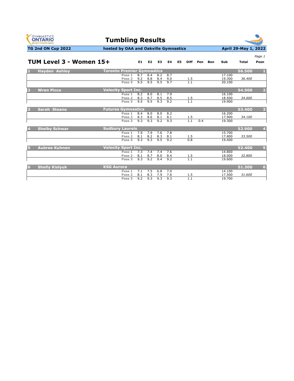



#### **TG 2nd ON Cup 2022 hosted by OAA and Oakville Gymnastics April 29-May 1, 2022**

*Page 1*

|   | TUM Level 3 - Women 15+ |                                   | E1  | E <sub>2</sub> | E3  | E4  | E5 | <b>Diff</b> | Pen | <b>Bon</b> | Sub    | <b>Total</b> | Posn                    |
|---|-------------------------|-----------------------------------|-----|----------------|-----|-----|----|-------------|-----|------------|--------|--------------|-------------------------|
|   | <b>Hayden Ashley</b>    | <b>Toronto Premier Gymnastics</b> |     |                |     |     |    |             |     |            |        | 56.500       | л                       |
|   |                         | Pass 1                            | 8.7 | 8.4            | 8.2 | 8.7 |    |             |     |            | 17.100 |              |                         |
|   |                         | Pass <sub>2</sub>                 | 9.2 | 8.8            | 8.4 | 9.0 |    | 1.5         |     |            | 19.300 | 36.400       |                         |
|   |                         | Pass $3$                          | 9.5 | 9.5            | 9.5 | 9.7 |    | 1.1         |     |            | 20.100 |              |                         |
|   | <b>Wren Picco</b>       | <b>Velocity Sport Inc.</b>        |     |                |     |     |    |             |     |            |        | 54.500       | $\overline{2}$          |
|   |                         | Pass 1                            | 8.2 | 8.0            | 8.1 | 7.9 |    |             |     |            | 16.100 |              |                         |
|   |                         | Pass 2                            | 8.3 | 8.7            | 8.5 | 8.5 |    | 1.5         |     |            | 18.500 | 34.600       |                         |
|   |                         | Pass <sub>3</sub>                 | 9.5 | 9.5            | 9.3 | 9.2 |    | 1.1         |     |            | 19.900 |              |                         |
| B | <b>Sarah Steane</b>     | <b>Futures Gymnastics</b>         |     |                |     |     |    |             |     |            |        | 53.400       | $\overline{\mathbf{3}}$ |
|   |                         | Pass 1                            | 8.4 | 8.0            | 8.0 | 8.2 |    |             |     |            | 16.200 |              |                         |
|   |                         | Pass 2                            | 8.3 | 8.6            | 8.1 | 8.1 |    | 1.5         |     |            | 17.900 | 34.100       |                         |
|   |                         | Pass <sub>3</sub>                 | 9.3 | 9.3            | 9.2 | 9.3 |    | 1.1         | 0.4 |            | 19.300 |              |                         |
|   | <b>Shelby Schwar</b>    | <b>Sudbury Laurels</b>            |     |                |     |     |    |             |     |            |        | 52.900       | $\overline{4}$          |
|   |                         | Pass 1                            | 7.9 | 7.9            | 7.6 | 7.8 |    |             |     |            | 15.700 |              |                         |
|   |                         | Pass <sub>2</sub>                 | 8.1 | 8.2            | 8.3 | 8.1 |    | 1.5         |     |            | 17.800 | 33.500       |                         |
|   |                         | Pass 3                            | 9.3 | 9.3            | 9.5 | 9.2 |    | 0.8         |     |            | 19.400 |              |                         |
| Б | <b>Aubree Kuhnen</b>    | <b>Velocity Sport Inc.</b>        |     |                |     |     |    |             |     |            |        | 52.400       | 5                       |
|   |                         | Pass 1                            | 7.3 | 7.4            | 7.4 | 7.6 |    |             |     |            | 14.800 |              |                         |
|   |                         | Pass <sub>2</sub>                 | 8.1 | 8.7            | 8.0 | 8.4 |    | 1.5         |     |            | 18,000 | 32.800       |                         |
|   |                         | Pass 3                            | 9.3 | 9.2            | 9.4 | 9.2 |    | 1.1         |     |            | 19.600 |              |                         |
| 6 | <b>Shelly Kislyuk</b>   | <b>KSG Aurora</b>                 |     |                |     |     |    |             |     |            |        | 51.300       | 6                       |
|   |                         | Pass 1                            | 7.1 | 7.5            | 6.8 | 7.0 |    |             |     |            | 14.100 |              |                         |
|   |                         | Pass <sub>2</sub>                 | 8.1 | 8.3            | 7.9 | 7.6 |    | 1.5         |     |            | 17.500 | 31.600       |                         |
|   |                         | Pass 3                            | 9.2 | 9.3            | 9.3 | 9.3 |    | 1.1         |     |            | 19.700 |              |                         |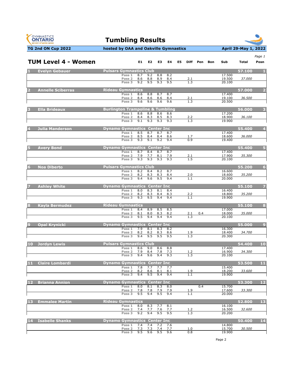



|                |                            |                                                    |            |            |                |            |    |                   |              |                  |        | Page 1         |
|----------------|----------------------------|----------------------------------------------------|------------|------------|----------------|------------|----|-------------------|--------------|------------------|--------|----------------|
|                | <b>TUM Level 4 - Women</b> |                                                    |            | E1 E2      | E3             | <b>E4</b>  | E5 |                   | Diff Pen Bon | Sub              | Total  | Posn           |
|                | <b>Evelyn Gebauer</b>      | <b>Pulsars Gymnastics Club</b>                     |            |            |                |            |    |                   |              |                  | 57.100 | $\mathbf{1}$   |
|                |                            | Pass 1<br>Pass <sub>2</sub>                        | 8.7        | 9.2        |                | 8.8 8.2    |    |                   |              | 17.500           | 37.000 |                |
|                |                            | Pass 3                                             | 8.6<br>9.2 | 8.8<br>9.5 | 8.9<br>9.3     | 8.4<br>9.5 |    | 2.1<br>1.3        |              | 19.500<br>20.100 |        |                |
|                | <b>Annelle Sciberras</b>   | <b>Rideau Gymnastics</b>                           |            |            |                |            |    |                   |              |                  | 57.000 | $\overline{2}$ |
|                |                            | Pass 1                                             | 8.6        | 8.8        | 8.7            | 8.7        |    |                   |              | 17.400           |        |                |
|                |                            | Pass 2<br>Pass 3                                   | 8.4<br>9.6 | 8.6<br>9.6 | 8.6<br>9.6     | 8.4<br>9.6 |    | 2.1<br>1.3        |              | 19.100<br>20.500 | 36.500 |                |
| 3              | <b>Ella Brideaux</b>       | <b>Burlington Trampoline &amp; Tumbling</b>        |            |            |                |            |    |                   |              |                  | 56.000 | 3              |
|                |                            | Pass 1                                             | 8.6        | 8.8        | 8.6            | 8.6        |    |                   |              | 17.200           |        |                |
|                |                            | Pass <sub>2</sub><br>Pass 3                        | 8.4<br>9.1 | 8.3<br>9.3 | 8.5<br>9.3     | 8.3<br>9.3 |    | <u>2.2</u><br>1.3 |              | 18.900<br>19.900 | 36,100 |                |
|                |                            |                                                    |            |            |                |            |    |                   |              |                  |        |                |
|                | Julia Manderson            | <b>Dynamo Gymnastics Center Inc.</b><br>Pass 1     | 8.5        | 8.7        | 8.7            | 8.7        |    |                   |              | 17.400           | 55.400 | $\overline{4}$ |
|                |                            | Pass 2                                             | 8.5        | 8.4        | 8.4            | 8.6        |    | 1.7               |              | 18.600           | 36.000 |                |
|                |                            | Pass 3                                             | 9.3        | 9.1        | 9.2            | 9.4        |    | 0.9               |              | 19.400           |        |                |
| 5.             | <b>Avery Bond</b>          | <b>Dynamo Gymnastics Center Inc.</b>               |            |            |                |            |    |                   |              |                  | 55.400 | Б              |
|                |                            | Pass 1<br>Pass <sub>2</sub>                        | 8.7<br>7.9 | 8.4<br>7.7 | 8.7<br>8.1     | 8.7<br>7.9 |    | <u>2.1</u>        |              | 17.400<br>17.900 | 35.300 |                |
|                |                            | Pass 3                                             | 9.3        | 9.3        | 9.3            | 9.3        |    | 1.5               |              | 20.100           |        |                |
| 6 <sup>1</sup> | <b>Noa Diberto</b>         | <b>Pulsars Gymnastics Club</b>                     |            |            |                |            |    |                   |              |                  | 55.200 | 6              |
|                |                            | Pass 1                                             | 8.2        | 8.4        | 8.2            | 8.7        |    |                   |              | 16.600           |        |                |
|                |                            | Pass <sub>2</sub><br>Pass 3                        | 8.2<br>9.4 | 8.3<br>9.6 | 8.3<br>9.5     | 8.4<br>9.4 |    | 2.0<br>1.1        |              | 18.600<br>20.000 | 35.200 |                |
|                | <b>Ashley White</b>        | <b>Dynamo Gymnastics Center Inc.</b>               |            |            |                |            |    |                   |              |                  | 55.100 |                |
|                |                            | Pass 1                                             | 8.0        | 8.3        | 8.1            | 8.4        |    |                   |              | 16.400           |        |                |
|                |                            | Pass 2                                             | 8.2        | 8.3        | 8.4            | 8.3        |    | 2.2               |              | 18.800           | 35.200 |                |
|                |                            | Pass 3                                             | 9.3        | 9.5        | 9.4            | 9.4        |    | 1.1               |              | 19.900           |        |                |
| 8 <sup>1</sup> | <b>Kayla Bermudez</b>      | <b>Rideau Gymnastics</b>                           |            |            |                |            |    |                   |              |                  | 55.100 | 8              |
|                |                            | Pass 1<br>Pass <sub>2</sub>                        | 8.4<br>8.1 | 8.9<br>8.0 | 8.5<br>8.3     | 8.5<br>8.2 |    |                   |              | 17.000<br>18.000 | 35.000 |                |
|                |                            | Pass 3                                             | 9.5        | 9.4        | 9.4            | 9.4        |    | 1.3               | $2.1 \t 0.4$ | 20.100           |        |                |
| 9 <sup>1</sup> | <b>Opal Krynicki</b>       | <b>Dynamo Gymnastics Center Inc.</b>               |            |            |                |            |    |                   |              |                  | 55.000 | $\overline{9}$ |
|                |                            | Pass 1                                             | 7.9        | 8.1        | 8.3            | 8.2        |    |                   |              | 16.300           |        |                |
|                |                            | Pass <sub>2</sub><br>Pass 3                        | 8.2<br>9.4 | 8.2<br>9.5 | 8.3<br>9.5     | 8.6<br>9.5 |    | 1.9<br>1.3        |              | 18.400<br>20.300 | 34.700 |                |
|                | 10 Jordyn Lewis            | <b>Pulsars Gymnastics Club</b>                     |            |            |                |            |    |                   |              |                  | 54.400 | <b>10</b>      |
|                |                            | Pass 1                                             | 8.6        | 9.0        | 8.6            | 8.8        |    |                   |              | 17.400           |        |                |
|                |                            | Pass 2<br>Pass 3                                   | 7.9<br>9.4 | 8.4<br>9.6 | 7.8<br>9.4     | 7.3<br>9.3 |    | <u>1.2</u><br>1.3 |              | 16.900<br>20.100 | 34.300 |                |
|                |                            |                                                    |            |            |                |            |    |                   |              |                  |        |                |
|                | 11 Claire Lombardi         | <b>Dynamo Gymnastics Center Inc.</b><br>Pass 1 7.8 |            |            |                |            |    |                   |              |                  | 53.500 | 11             |
|                |                            | Pass <sub>2</sub>                                  | 8.2        | 7.7<br>8.6 | 7.7 7.7<br>8.1 | 8.1        |    | 1.9               |              | 15.400<br>18.200 | 33.600 |                |
|                |                            | Pass 3                                             | 9.4        | 9.5        | 9.4            | 9.4        |    | 1.1               |              | 19.900           |        |                |
|                | 12 Brianna Annion          | <b>Dynamo Gymnastics Center Inc.</b>               |            |            |                |            |    |                   |              |                  | 53.300 | $12$           |
|                |                            | Pass 1<br>Pass 2                                   | 8.0<br>7.8 | 8.1<br>7.8 | 8.3<br>7.9     | 8.0<br>7.9 |    | 1.9               | 0.4          | 15.700<br>17.600 | 33.300 |                |
|                |                            | Pass 3                                             | 9.5        | 9.4        | 9.5            | 9.4        |    | 1.1               |              | 20.000           |        |                |
| 13             | <b>Emmalee Martin</b>      | <b>Rideau Gymnastics</b>                           |            |            |                |            |    |                   |              |                  | 52.800 | 13             |
|                |                            | Pass 1                                             | 8.0        | 8.3        | 7.7            | 8.1        |    |                   |              | 16.100           |        |                |
|                |                            | Pass 2<br>Pass 3                                   | 7.4<br>9.2 | 7.7<br>9.4 | 7.6<br>9.5     | 7.7<br>9.5 |    | <u>1.2</u><br>1.3 |              | 16.500<br>20.200 | 32.600 |                |
|                |                            |                                                    |            |            |                |            |    |                   |              |                  |        |                |
|                | 14 Isabelle Shanks         | <b>Dynamo Gymnastics Center Inc.</b><br>Pass 1     | 7.4        | 7.4        | 7.2            | 7.6        |    |                   |              | 14.800           | 50.400 | 14             |
|                |                            | Pass 2                                             | 7.3        | 7.3        | 7.4            | 7.7        |    | 1.0               |              | 15.700           | 30.500 |                |
|                |                            | Pass 3                                             | 9.5        | 9.6        | 9.5            | 9.6        |    | 0.8               |              | 19.900           |        |                |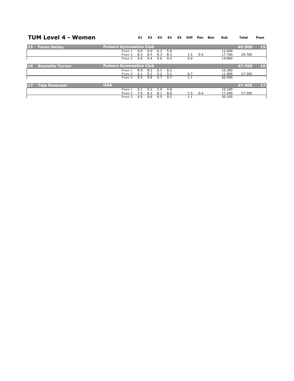#### **TUM Level 4 - Women**

**E1 E2 E3 E4 E5 Diff Pen Bon Sub Total Posn**

| 15              | <b>Faron Bailey</b>    | <b>Pulsars Gymnastics Club</b> |     |     |     |     |     |     |        | 49.500 | <b>15</b> |
|-----------------|------------------------|--------------------------------|-----|-----|-----|-----|-----|-----|--------|--------|-----------|
|                 |                        | Pass 1                         | 6.0 | 6.0 | 6.2 | 5.9 |     |     | 12.000 |        |           |
|                 |                        | Pass 2                         | 8.3 | 8.5 | 8.3 | 8.3 | 1.5 | 0.4 | 17.700 | 29.700 |           |
|                 |                        | Pass 3                         | 9.5 | 9.4 | 9.6 | 9.4 | 0.9 |     | 19.800 |        |           |
| 16 <sub>1</sub> | <b>Seynette Turner</b> | <b>Pulsars Gymnastics Club</b> |     |     |     |     |     |     |        | 47.700 | 16        |
|                 |                        | Pass 1                         | 8.0 | 8.2 | 8.1 | 8.2 |     |     | 16.300 |        |           |
|                 |                        | Pass <sub>2</sub>              | 5.1 | 52  | 52  | 5.1 | 0.7 |     | 11.000 | 27.300 |           |
|                 |                        | Pass 3                         | 9.5 | 9.6 | 9.7 | 9.7 | 1.1 |     | 20,400 |        |           |
| БU              | <b>Teja Rosevear</b>   | <b>OAA</b>                     |     |     |     |     |     |     |        | 47.400 | 17        |
|                 |                        | Pass 1                         | 51  | 52  | 5.0 | 4.8 |     |     | 10.100 |        |           |
|                 |                        | Pass 2                         | 7.9 | 8.2 | 8.1 | 8.0 | 1.5 | 0.4 | 17.200 | 27.300 |           |
|                 |                        | Pass 3                         | 9.5 | 9.6 | 9.5 | 9.5 | 1.1 |     | 20.100 |        |           |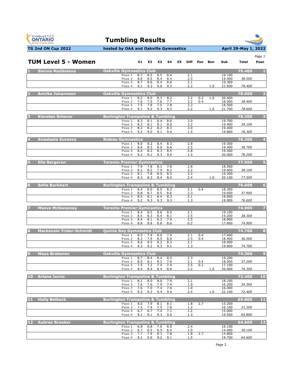



|    | <b>TUM Level 5 - Women</b>      |                                                       | E1.        | E2         | E3         | E4         | E5 | Diff       | Pen        | Bon | Sub              | Total  | Page 1<br>Posn  |
|----|---------------------------------|-------------------------------------------------------|------------|------------|------------|------------|----|------------|------------|-----|------------------|--------|-----------------|
|    |                                 |                                                       |            |            |            |            |    |            |            |     |                  |        |                 |
|    | 1 Sienna Maddalena              | <b>Oakville Gymnastics Club</b><br>Pass 1             | 8.7        | 8.5        | 8.5        | 8.4        |    | 2.1        |            |     | 19.100           | 79.400 |                 |
|    |                                 | Pass <sub>2</sub>                                     | 8.6        | 8.5        | 8.4        | 8.4        |    | 2.5        |            |     | 19.400           | 38.500 |                 |
|    |                                 | Pass 3<br>Pass 4                                      | 8.7<br>9.1 | 8.6<br>9.3 | 8.4<br>9.0 | 8.6<br>9.3 |    | 2.1<br>2.2 |            | 1.0 | 19.300<br>21.600 | 79.400 |                 |
|    |                                 |                                                       |            |            |            |            |    |            |            |     |                  |        |                 |
|    | <b>Annika Johannsen</b>         | <b>Oakville Gymnastics Club</b><br>Pass <sub>1</sub>  | 8.2        | 8.0        | 8.3        | 8.2        |    | 3.2        | 0.2        | 1.0 | 20.400           | 78.600 |                 |
|    |                                 | Pass <sub>2</sub>                                     | 7.6        | 7.5        | 7.6        | 7.7        |    | 3.2        | 0.4        |     | 18.000           | 38,400 |                 |
|    |                                 | Pass 3<br>Pass 4                                      | 7.5<br>9.1 | 7.8<br>9.2 | 7.5<br>9.3 | 7.8<br>9.3 |    | 3.2<br>2.2 |            | 1.0 | 18.500<br>21.700 | 78.600 |                 |
| 3  | <b>Kiersten Scherer</b>         | <b>Burlington Trampoline &amp; Tumbling</b>           |            |            |            |            |    |            |            |     |                  | 78.300 | в               |
|    |                                 | Pass 1                                                | 8.3        | 8.1        | 8.4        | 8.6        |    | 3.0        |            |     | 19.700           |        |                 |
|    |                                 | Pass <sub>2</sub><br>Pass 3                           | 8.3<br>8.2 | 8.1<br>8.2 | 8.1<br>8.2 | 8.0<br>8.3 |    | 3.2<br>3.0 |            |     | 19.400<br>19.400 | 39.100 |                 |
|    |                                 | Pass 4                                                | 9.2        | 9.0        | 9.1        | 9.4        |    | 1.5        |            |     | 19.800           | 78.300 |                 |
|    | <b>Anastasia Kursova</b>        | <b>Rideau Gymnastics</b>                              |            |            |            |            |    |            |            |     |                  | 78.200 | $\overline{4}$  |
|    |                                 | Pass 1                                                | 8.0        | 8.2        | 8.4        | 8.3        |    | 2.8        |            |     | 19.300           |        |                 |
|    |                                 | Pass <sub>2</sub><br>Pass 3                           | 8.6<br>8.4 | 8.3<br>8.3 | 8.0<br>8.3 | 8.6<br>8.5 |    | 2.5<br>2.8 |            |     | 19.400<br>19.500 | 38.700 |                 |
|    |                                 | Pass 4                                                | 9.2        | 9.1        | 9.3        | 9.4        |    | 1.5        |            |     | 20.000           | 78.200 |                 |
| 5. | <b>Ella Bergeron</b>            | <b>Toronto Premier Gymnastics</b>                     |            |            |            |            |    |            |            |     |                  | 77.500 | 5               |
|    |                                 | Pass 1                                                | 7.9<br>8.2 | 7.8        | 8.1<br>7.9 | 7.8        |    | 2.8<br>3.2 |            |     | 18.500           | 38.100 |                 |
|    |                                 | Pass 2<br>Pass 3                                      | 8.1        | 8.2<br>7.8 | 8.0        | 8.2<br>8.5 |    | 3.2        |            |     | 19.600<br>19.300 |        |                 |
|    |                                 | Pass 4                                                | 8.3        | 8.3        | 8.4        | 8.4        |    | 2.4        |            | 1.0 | 20.100           | 77.500 |                 |
| 6  | Sofia Burkhart                  | <b>Burlington Trampoline &amp; Tumbling</b>           |            |            |            |            |    |            |            |     |                  | 76.600 | $6\phantom{1}6$ |
|    |                                 | Pass 1<br>Pass 2                                      | 8.4<br>8.8 | 8.0<br>8.7 | 8.5<br>8.5 | 8.2<br>8.6 |    | 2.1<br>2.3 | 0.4        |     | 18.300<br>19.600 | 37.900 |                 |
|    |                                 | Pass 3                                                | 8.5        | 8.1        | 8.4<br>9.3 | 8.3        |    | 2.1        |            |     | 18.800           |        |                 |
|    |                                 | Pass 4                                                | 9.2        | 9.3        |            | 9.3        |    | 1.3        |            |     | 19.900           | 76.600 |                 |
|    | <b>Maeve McSweeney</b>          | <b>Toronto Premier Gymnastics</b>                     |            |            |            |            |    |            |            |     |                  | 74.900 | 7               |
|    |                                 | Pass 1<br>Pass <sub>2</sub>                           | 8.4<br>8.5 | 8.5<br>8.3 | 8.6<br>8.4 | 8.5<br>8.1 |    | 2.1<br>2.5 |            |     | 19.100<br>19.200 | 38.300 |                 |
|    |                                 | Pass 3                                                | 8.4        | 8.1        | 8.2        | 7.9        |    | 2.5        |            |     | 18.800           |        |                 |
|    |                                 | Pass 4                                                | 8.8        | 8.8        | 8.8        | 8.6        |    | 0.2        |            |     | 17.800           | 74.900 |                 |
|    | <b>Mackenzie Trider-Schmidt</b> | <b>Quinte Bay Gymnastics Club</b>                     |            |            |            |            |    |            |            |     |                  | 74.700 | 8               |
|    |                                 | Pass 1<br>Pass 2                                      | 8.5<br>8.3 | 7.9<br>7.9 | 8.0<br>8.5 | 7.9<br>8.0 |    | 2.1<br>2.5 | 0.4<br>0.4 |     | 17.600<br>18.400 | 36.000 |                 |
|    |                                 | Pass 3                                                | 8.6        | 8.5        | 8.2        | 8.3        |    | 2.1        |            |     | 18.900           |        |                 |
|    |                                 | Pass 4                                                | 9.3        | 9.2        | 9.3        | 9.1        |    | 1.3        |            |     | 19.800           | 74.700 |                 |
|    | <b>Maya Brabenec</b>            | <b>Oakville Gymnastics Club</b>                       |            |            |            |            |    |            |            |     |                  | 74.300 | 9               |
|    |                                 | Pass 1<br>Pass <sub>2</sub>                           | 8.7<br>8.5 | 8.4<br>8.1 | 8.4<br>8.2 | 8.5<br>7.6 |    | 2.3<br>2.1 | 0.4        |     | 19.200<br>18.000 | 37.200 |                 |
|    |                                 | Pass 3                                                | 7.5        | 7.2        | 7.4        | 7.4        |    | 2.5        | 0.2        |     | 17.100           |        |                 |
|    |                                 | Pass <sub>4</sub>                                     | 8.4        | 8.4        | 8.4        | 8.6        |    | 2.2        |            | 1.0 | 20.000           | 74.300 |                 |
| 10 | <b>Ariana Jurcic</b>            | <b>Burlington Trampoline &amp; Tumbling</b>           |            |            |            |            |    |            |            |     |                  | 72.400 | 10              |
|    |                                 | Pass 1<br>Pass <sub>2</sub>                           | 8.1<br>7.6 | 8.0<br>7.6 | 8.0<br>7.9 | 7.9<br>7.4 |    | 2.1<br>1.0 |            |     | 18.100<br>16.200 | 34.300 |                 |
|    |                                 | Pass 3<br>Pass 4                                      | 7.6<br>9.3 | 7.0<br>9.3 | 7.4<br>9.4 | 7.6<br>9.4 |    | 1.0<br>2.4 |            | 1.0 | 16.000<br>22.100 | 72.400 |                 |
|    |                                 |                                                       |            |            |            |            |    |            |            |     |                  |        |                 |
| 11 | <b>Holly Belbeck</b>            | <b>Burlington Trampoline &amp; Tumbling</b><br>Pass 1 | 8.0        | 7.9        | 8.1        | 8.1        |    | 1.8        | 2.7        |     | 15.200           | 65.800 | 11              |
|    |                                 | Pass <sub>2</sub>                                     | 7.4        | 7.4        | 7.5        | 7.8        |    | 1.2        |            |     | 16.100           | 31.300 |                 |
|    |                                 | Pass <sub>3</sub><br>Pass 4                           | 6.7<br>9.1 | 6.7<br>9.1 | 7.4<br>9.3 | 7.1<br>9.0 |    | 1.2<br>1.3 |            |     | 15.000<br>19.500 | 65.800 |                 |
| 12 | <b>Aubree Brooker</b>           | <b>Burlington Trampoline &amp; Tumbling</b>           |            |            |            |            |    |            |            |     |                  | 64.600 | 12              |
|    |                                 | Pass 1                                                | 6.8        | 6.8        | 7.0        | 6.9        |    | 2.4        |            |     | 16.100           |        |                 |
|    |                                 | Pass <sub>2</sub>                                     | 6.7<br>7.7 | 6.5        | 6.5        | 6.4        |    | 1.0        |            |     | 14.000           | 30.100 |                 |
|    |                                 | Pass 3<br>Pass 4                                      | 9.1        | 7.9<br>9.0 | 8.1<br>9.2 | 7.8<br>9.1 |    | 1.8<br>1.5 | 2.7        |     | 14.800<br>19.700 | 64.600 |                 |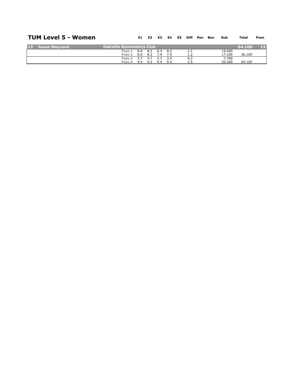#### **TUM Level 5 - Women**

| <b>TUM Level 5 - Women</b> |                                          |     | E1 E2           | <b>E3</b> |     | E4 E5 Diff Pen Bon |  | Sub    | Total  | Posn |
|----------------------------|------------------------------------------|-----|-----------------|-----------|-----|--------------------|--|--------|--------|------|
| 13 Javan Mayrand           | $\sf I$ Oakville Gymnastics Club $\sf I$ |     |                 |           |     |                    |  |        | 64.100 | 13   |
|                            | Pass 1 8.6 8.5 8.4 8.2                   |     |                 |           |     | 2.1                |  | 19.000 |        |      |
|                            | Pass 2                                   |     | 8.0 8.2 7.9 7.9 |           |     | 1.2                |  | 17.100 | 36.100 |      |
|                            | Pass 3                                   | 3.7 | 3.7 3.7         |           | 3.5 | 0.3                |  | 7.700  |        |      |
|                            | Pass 4 9.4 9.3 9.4 9.4                   |     |                 |           |     |                    |  | 20,300 | 64.100 |      |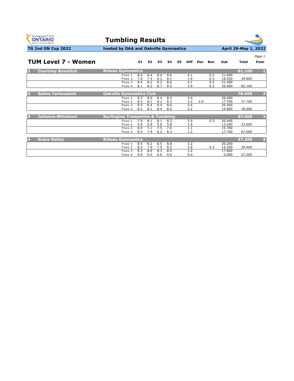



|   |                            |                                             |            |                |                |            |    |             |     |            |                  |        | Page 1         |
|---|----------------------------|---------------------------------------------|------------|----------------|----------------|------------|----|-------------|-----|------------|------------------|--------|----------------|
|   | <b>TUM Level 7 - Women</b> |                                             | E1         | E <sub>2</sub> | E <sub>3</sub> | E4         | E5 | <b>Diff</b> | Pen | <b>Bon</b> | Sub              | Total  | Posn           |
| п | <b>Courtney Bowditch</b>   | <b>Rideau Gymnastics</b>                    |            |                |                |            |    |             |     |            |                  | 82.100 |                |
|   |                            | Pass 1<br>Pass <sub>2</sub>                 | 8.6<br>7.9 | 8.4<br>7.4     | 8.9<br>8.2     | 8.6<br>8.1 |    | 4.1<br>1.9  |     | 0.3<br>0.3 | 21.600<br>18.200 | 39.800 |                |
|   |                            | Pass <sub>3</sub><br>Pass 4                 | 8.4<br>8.1 | 8.2<br>8.2     | 9.2<br>8.7     | 8.6<br>8.5 |    | 4.1<br>3.9  |     | 0.3<br>0.3 | 21.400<br>20.900 | 82.100 |                |
|   |                            |                                             |            |                |                |            |    |             |     |            |                  |        |                |
| 2 | Salma Tartoussieh          | <b>Oakville Gymnastics Club</b>             |            |                |                |            |    |             |     |            |                  | 78,000 | $\overline{2}$ |
|   |                            | Pass 1<br>Pass <sub>2</sub>                 | 8.3<br>8.3 | 8.0<br>8.1     | 8.4<br>8.2     | 8.3<br>8.3 |    | 3.4<br>3.2  | 2.0 |            | 20.000<br>17.700 | 37.700 |                |
|   |                            | Pass <sub>3</sub><br>Pass 4                 | 8.5<br>8.2 | 8.4<br>8.1     | 9.4<br>8.4     | 8.6<br>8.4 |    | 3.4<br>3.2  |     |            | 20.500<br>19.800 | 78.000 |                |
|   |                            |                                             |            |                |                |            |    |             |     |            |                  |        |                |
| 3 | <b>Julianna Milinkovic</b> | <b>Burlington Trampoline &amp; Tumbling</b> |            |                |                |            |    |             |     |            |                  | 67.000 | 3              |
|   |                            | Pass 1<br>Pass <sub>2</sub>                 | 7.9<br>5.9 | 8.1<br>5.8     | 8.1<br>5.8     | 8.3<br>5.8 |    | 3.9<br>1.6  |     | 0.3        | 20,400<br>13.200 | 33.600 |                |
|   |                            | Pass <sub>3</sub><br>Pass 4                 | 6.9<br>8.5 | 7.1<br>7.9     | 7.5<br>8.2     | 7.6<br>8.3 |    | 1.1<br>1.2  |     |            | 15.700<br>17.700 | 67.000 |                |
|   |                            |                                             |            |                |                |            |    |             |     |            |                  |        |                |
| 4 | <b>Grace Kelley</b>        | <b>Rideau Gymnastics</b>                    |            |                |                |            |    |             |     |            |                  | 57.200 | 4              |
|   |                            | Pass 1<br>Pass <sub>2</sub>                 | 8.5<br>8.5 | 8.2<br>7.9     | 8.5<br>7.9     | 8.8<br>8.2 |    | 3.2<br>2.8  |     | 0.3        | 20,200<br>19.200 | 39.400 |                |
|   |                            | Pass <sub>3</sub><br>Pass 4                 | 8.3<br>0.0 | 8.0<br>0.0     | 8.3<br>0.0     | 8.5<br>0.0 |    | 1.2<br>0.0  |     |            | 17.800<br>0.000  | 57.200 |                |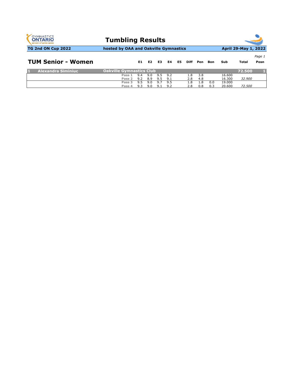| <b>GYMNASTICS</b><br><b>ONTARIO</b><br><b>SPORT STARTS HERE</b> | <b>Tumbling Results</b>               |     |                |     |     |     |             |     |     |        |                      |        |
|-----------------------------------------------------------------|---------------------------------------|-----|----------------|-----|-----|-----|-------------|-----|-----|--------|----------------------|--------|
| TG 2nd ON Cup 2022                                              | hosted by OAA and Oakville Gymnastics |     |                |     |     |     |             |     |     |        | April 29-May 1, 2022 |        |
|                                                                 |                                       |     |                |     |     |     |             |     |     |        |                      | Page 1 |
| <b>TUM Senior - Women</b>                                       |                                       | E1  | E <sub>2</sub> | E3  | E4  | E5. | <b>Diff</b> | Pen | Bon | Sub    | Total                | Posn   |
| <b>Alexandra Siminiuc</b>                                       | <b>Oakville Gymnastics Club</b>       |     |                |     |     |     |             |     |     |        | 72.500               |        |
|                                                                 | Pass 1                                | 9.4 | 9.0            | 9.5 | 9.2 |     | 1.8         | 3.8 |     | 16.600 |                      |        |
|                                                                 | Pass 2                                | 9.2 | 8.9            | 9.5 | 9.1 |     | 2.8         | 4.8 |     | 16.300 | 32,900               |        |
|                                                                 | Pass <sub>3</sub>                     | 9.5 | 9.0            | 9.7 | 9.5 |     | 1.8         | 1.8 | 0.0 | 19.000 |                      |        |
|                                                                 | Pass 4                                | 9.3 | 9.0            | 9.1 | 9.2 |     | 2.8         | 0.8 | 0.3 | 20.600 | 72.500               |        |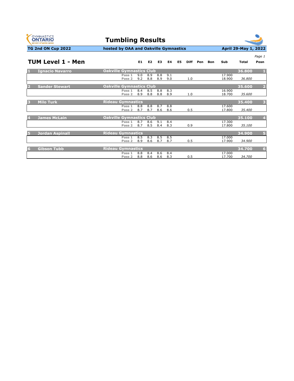

| <b>Jordan Aspinall</b>   | Rideau Gymnastics .   |                 |         |       |        | 34.900 |  |
|--------------------------|-----------------------|-----------------|---------|-------|--------|--------|--|
|                          | Pass 1                | 8.5 8.3 8.5 8.5 |         |       | 17.000 |        |  |
|                          | Pass 2                | 8.9 8.6 8.7     |         | - 8.7 | 17.900 | 34.900 |  |
|                          |                       |                 |         |       |        |        |  |
| <sup>'</sup> Gibson Tubb | ' Rideau Gymnastics . |                 |         |       |        | 34.700 |  |
|                          | Pass 1                | 8.8 8.4 8.6 8.4 |         |       | 17.000 |        |  |
|                          | Pass 2<br>8.8         |                 | 8.6 8.6 | 8.3   | 17.700 | 34.700 |  |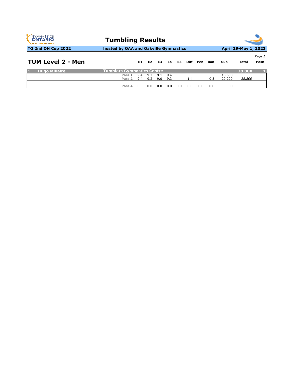|        |                  |                |            |                                                 |                                       |      |                                                     |     |            |                 | Page 1                         |
|--------|------------------|----------------|------------|-------------------------------------------------|---------------------------------------|------|-----------------------------------------------------|-----|------------|-----------------|--------------------------------|
|        | E1.              | E <sub>2</sub> | E3         | E4                                              | E5                                    | Diff | Pen                                                 | Bon | Sub        | Total           | Posn                           |
|        |                  |                |            |                                                 |                                       |      |                                                     |     |            | 38,800          |                                |
| Pass 1 | 9.4              | 9.2            | 9.1        | 9.4                                             |                                       |      |                                                     |     | 18.600     |                 |                                |
|        |                  |                |            |                                                 |                                       |      |                                                     |     |            |                 |                                |
|        | Pass 2<br>Pass 4 | 9.4<br>n.n     | 9.2<br>0.0 | <b>Tumblers Gymnastics Centre</b><br>9.0<br>0.0 | <b>Tumbling Results</b><br>9.3<br>0.0 | 0.0  | hosted by OAA and Oakville Gymnastics<br>1.4<br>0.0 | 0.0 | 0.3<br>0.0 | 20,200<br>0.000 | April 29-May 1, 2022<br>38.800 |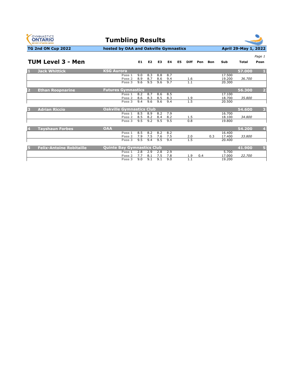



|                                      |                                                  |                   |                   |                   |                   |    |             |     |     |                           |        | Page 1                  |
|--------------------------------------|--------------------------------------------------|-------------------|-------------------|-------------------|-------------------|----|-------------|-----|-----|---------------------------|--------|-------------------------|
| <b>TUM Level 3 - Men</b>             |                                                  | E1                | E <sub>2</sub>    | E <sub>3</sub>    | E4                | E5 | <b>Diff</b> | Pen | Bon | Sub                       | Total  | Posn                    |
| <b>Jack Whittick</b><br>ШI           | <b>KSG Aurora</b>                                |                   |                   |                   |                   |    |             |     |     |                           | 57.000 | п                       |
|                                      | Pass 1<br>Pass <sub>2</sub>                      | 9.0<br>8.9        | 8.3<br>8.7        | 8.8<br>8.6        | 8.7               |    |             |     |     | 17.500<br>19.200          | 36,700 |                         |
|                                      | Pass <sub>3</sub>                                | 9.6               | 9.5               | 9.6               | 9.4<br>9.7        |    | 1.6<br>1.1  |     |     | 20.300                    |        |                         |
| <b>Ethan Roopnarine</b>              | <b>Futures Gymnastics</b>                        |                   |                   |                   |                   |    |             |     |     |                           | 56.300 | $\overline{2}$          |
|                                      | Pass 1<br>Pass <sub>2</sub>                      | 8.2<br>8.6        | 8.7<br>8.3        | 8.6<br>8.5        | 8.5<br>8.3        |    | 1.9         |     |     | 17.100<br>18.700          | 35.800 |                         |
|                                      | Pass <sub>3</sub>                                | 9.4               | 9.6               | 9.6               | 9.4               |    | 1.5         |     |     | 20.500                    |        |                         |
| <b>Adrian Riccio</b><br>B            | <b>Oakville Gymnastics Club</b>                  |                   |                   |                   |                   |    |             |     |     |                           | 54.600 | $\overline{\mathbf{3}}$ |
|                                      | Pass 1<br>Pass <sub>2</sub>                      | 8.5<br>8.5        | 8.9<br>8.2        | 8.2<br>8.4        | 7.9<br>8.2        |    | 1.5         |     |     | 16.700<br>18.100          | 34.800 |                         |
|                                      | Pass <sub>3</sub>                                | 9.5               | 9.2               | 9.5               | 9.5               |    | 0.8         |     |     | 19.800                    |        |                         |
| <b>Tayshaun Forbes</b>               | <b>OAA</b>                                       |                   |                   |                   |                   |    |             |     |     |                           | 54.200 | $\overline{4}$          |
|                                      | Pass 1<br>Pass <sub>2</sub>                      | 8.5<br>7.9        | 8.2<br>7.5        | 8.2<br>7.6        | 8.2<br>7.5        |    | 2.0         |     | 0.3 | 16.400<br>17.400          | 33.800 |                         |
|                                      | Pass <sub>3</sub>                                | 9.5               | 9.4               | 9.5               | 9.4               |    | 1.5         |     |     | 20.400                    |        |                         |
| <b>Felix-Antoine Robitaille</b><br>ы | <b>Quinte Bay Gymnastics Club</b>                |                   |                   |                   |                   |    |             |     |     |                           | 41.900 | $\overline{5}$          |
|                                      | Pass 1<br>Pass <sub>2</sub><br>Pass <sub>3</sub> | 2.8<br>7.7<br>9.0 | 2.9<br>8.1<br>9.1 | 2.8<br>7.5<br>9.1 | 2.9<br>7.8<br>9.0 |    | 1.9<br>1.1  | 0.4 |     | 5.700<br>17.000<br>19.200 | 22.700 |                         |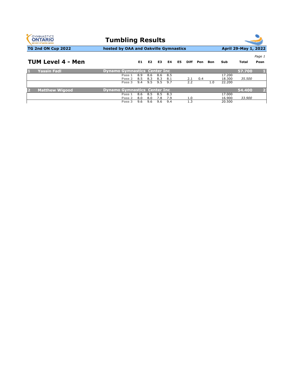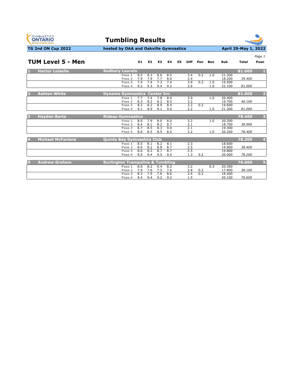



|                |                          |                                             |     |                |                    |     |    |             |     |            |        |        | Page 1          |
|----------------|--------------------------|---------------------------------------------|-----|----------------|--------------------|-----|----|-------------|-----|------------|--------|--------|-----------------|
|                | <b>TUM Level 5 - Men</b> |                                             | E1  | E <sub>2</sub> | E3                 | E4  | E5 | <b>Diff</b> | Pen | <b>Bon</b> | Sub    | Total  | Posn            |
| ы              | <b>Hector Loiselle</b>   | <b>Sudbury Laurels</b>                      |     |                |                    |     |    |             |     |            |        | 81.000 | п               |
|                |                          | Pass 1                                      | 8.5 | 8.3            | 8.6                | 8.5 |    | 3.4         | 0.2 | 1.0        | 21.200 |        |                 |
|                |                          | Pass <sub>2</sub>                           | 7.9 | 7.9            | 7.7                | 8.0 |    | 2.4         |     |            | 18,200 | 39.400 |                 |
|                |                          | Pass <sub>3</sub>                           | 7.4 | 7.4            | 7.3                | 7.4 |    | 3.9         | 0.2 | 1.0        | 19.500 |        |                 |
|                |                          | Pass 4                                      | 9.2 | 9.3            | 9.4                | 9.2 |    | 2.6         |     | 1.0        | 22.100 | 81.000 |                 |
| D              | <b>Ashton White</b>      | <b>Dynamo Gymnastics</b>                    |     |                | <b>Center Inc.</b> |     |    |             |     |            |        | 81.000 | $\overline{2}$  |
|                |                          | Pass 1                                      | 7.7 | 7.4            | 7.8                | 8.0 |    | 3.9         |     | 1.0        | 20.400 |        |                 |
|                |                          | Pass <sub>2</sub>                           | 8.3 | 8.2            | 8.2                | 8.5 |    | 3.2         |     |            | 19.700 | 40.100 |                 |
|                |                          | Pass <sub>3</sub>                           | 8.2 | 8.2            | 8.9                | 8.4 |    | 3.2         | 0.2 |            | 19.600 |        |                 |
|                |                          | Pass 4                                      | 9.1 | 8.9            | 9.1                | 9.0 |    | 2.2         |     | 1.0        | 21.300 | 81.000 |                 |
|                |                          |                                             |     |                |                    |     |    |             |     |            |        |        |                 |
| E              | <b>Haydon Barta</b>      | <b>Rideau Gymnastics</b>                    |     |                |                    |     |    |             |     |            |        | 78.400 | 3               |
|                |                          | Pass 1                                      | 8.0 | 7.9            | 8.0                | 8.0 |    | 3.2         |     | 1.0        | 20,200 |        |                 |
|                |                          | Pass <sub>2</sub>                           | 8.4 | 8.1            | 8.2                | 8.7 |    | 2.1         |     |            | 18.700 | 38.900 |                 |
|                |                          | Pass <sub>3</sub>                           | 8.7 | 8.5            | 8.3                | 9.0 |    | 2.1         |     |            | 19.300 |        |                 |
|                |                          | Pass 4                                      | 8.6 | 8.5            | 8.5                | 8.5 |    | 2.2         |     | 1.0        | 20,200 | 78.400 |                 |
|                |                          |                                             |     |                |                    |     |    |             |     |            |        |        |                 |
| $\overline{4}$ | <b>Michael McFarlane</b> | <b>Quinte Bay Gymnastics Club</b>           |     |                |                    |     |    |             |     |            |        | 78.200 | $\overline{4}$  |
|                |                          | Pass 1                                      | 8.5 | 8.1            | 8.2                | 8.1 |    | 2.3         |     |            | 18.600 |        |                 |
|                |                          | Pass <sub>2</sub>                           | 8.6 | 8.2            | 8.8                | 8.7 |    | 2.5         |     |            | 19.800 | 38.400 |                 |
|                |                          | Pass <sub>3</sub>                           | 8.6 | 8.3            | 8.7                | 8.7 |    | 2.5         |     |            | 19.800 |        |                 |
|                |                          | Pass 4                                      | 9.5 | 9.4            | 9.5                | 9.4 |    | 1.3         | 0.2 |            | 20,000 | 78.200 |                 |
|                |                          |                                             |     |                |                    |     |    |             |     |            |        |        |                 |
| Б              | <b>Andrew Graham</b>     | <b>Burlington Trampoline &amp; Tumbling</b> |     |                |                    |     |    |             |     |            |        | 76.600 | $\vert 5 \vert$ |
|                |                          | Pass 1                                      | 8.6 | 8.2            | 9.4                | 8.2 |    | 3.2         |     | 0.3        | 20.300 |        |                 |
|                |                          | Pass <sub>2</sub>                           | 7.9 | 7.6            | 7.5                | 7.6 |    | 2.8         | 0.2 |            | 17.800 | 38.100 |                 |
|                |                          | Pass <sub>3</sub>                           | 8.3 | 7.9            | 7.6                | 8.6 |    | 2.4         | 0.2 |            | 18,400 |        |                 |
|                |                          | Pass 4                                      | 9.4 | 9.4            | 9.2                | 9.2 |    | 1.5         |     |            | 20.100 | 76.600 |                 |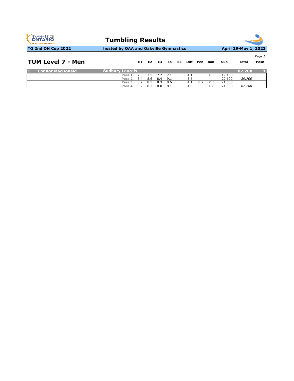| <b>GYMNASTICS</b><br><b>ONTARIO</b><br><b>SPORT STARTS HERE</b> | <b>Tumbling Results</b>               |     |                |     |     |    |             |     |     |        |                      |                |
|-----------------------------------------------------------------|---------------------------------------|-----|----------------|-----|-----|----|-------------|-----|-----|--------|----------------------|----------------|
| <b>TG 2nd ON Cup 2022</b>                                       | hosted by OAA and Oakville Gymnastics |     |                |     |     |    |             |     |     |        | April 29-May 1, 2022 |                |
| <b>TUM Level 7 - Men</b>                                        |                                       | E1. | E <sub>2</sub> | E3  | E4  | E5 | <b>Diff</b> | Pen | Bon | Sub    | Total                | Page 1<br>Posn |
| <b>Connor MacDonald</b>                                         | <b>Sudbury Laurels</b>                |     |                |     |     |    |             |     |     |        | 82.200               |                |
|                                                                 | Pass 1                                | 7.5 | 7.5            | 79  | 7.1 |    | 4.1         |     | 0.3 | 19.100 |                      |                |
|                                                                 | Pass 2                                | 8.4 | 8.6            | 8.4 | 9.1 |    | 3.6         |     |     | 20,600 | 39.700               |                |
|                                                                 | Pass <sub>3</sub>                     | 8.2 | 8.5            | 8.3 | 8.6 |    | 4.1         | 0.2 | 0.3 | 21.000 |                      |                |
|                                                                 | Pass 4                                | 8.2 | 8.3            | 8.0 | 8.1 |    | 4.6         |     | 0.6 | 21.500 | 82.200               |                |